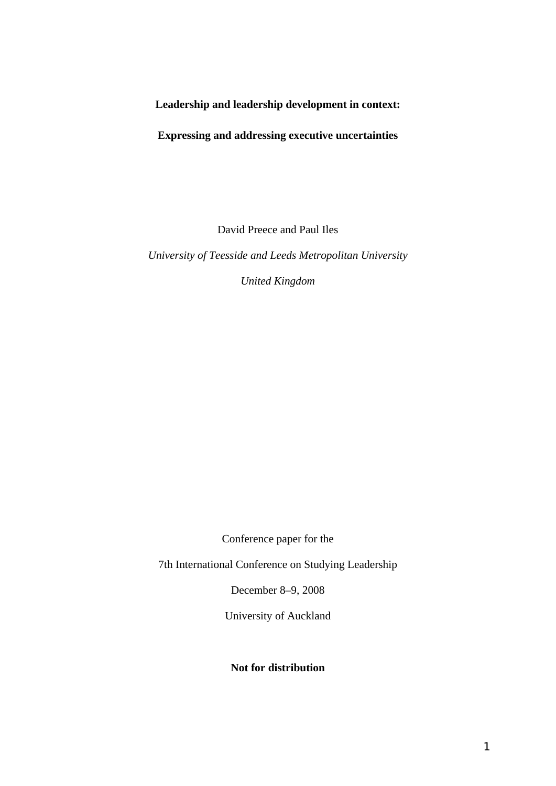# **Leadership and leadership development in context:**

# **Expressing and addressing executive uncertainties**

David Preece and Paul Iles

*University of Teesside and Leeds Metropolitan University* 

*United Kingdom* 

Conference paper for the

7th International Conference on Studying Leadership

December 8–9, 2008

University of Auckland

# **Not for distribution**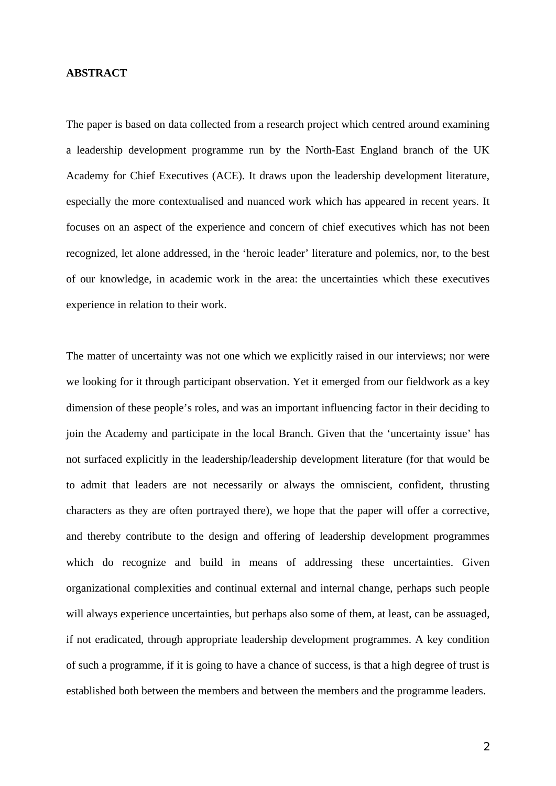### **ABSTRACT**

The paper is based on data collected from a research project which centred around examining a leadership development programme run by the North-East England branch of the UK Academy for Chief Executives (ACE). It draws upon the leadership development literature, especially the more contextualised and nuanced work which has appeared in recent years. It focuses on an aspect of the experience and concern of chief executives which has not been recognized, let alone addressed, in the 'heroic leader' literature and polemics, nor, to the best of our knowledge, in academic work in the area: the uncertainties which these executives experience in relation to their work.

The matter of uncertainty was not one which we explicitly raised in our interviews; nor were we looking for it through participant observation. Yet it emerged from our fieldwork as a key dimension of these people's roles, and was an important influencing factor in their deciding to join the Academy and participate in the local Branch. Given that the 'uncertainty issue' has not surfaced explicitly in the leadership/leadership development literature (for that would be to admit that leaders are not necessarily or always the omniscient, confident, thrusting characters as they are often portrayed there), we hope that the paper will offer a corrective, and thereby contribute to the design and offering of leadership development programmes which do recognize and build in means of addressing these uncertainties. Given organizational complexities and continual external and internal change, perhaps such people will always experience uncertainties, but perhaps also some of them, at least, can be assuaged, if not eradicated, through appropriate leadership development programmes. A key condition of such a programme, if it is going to have a chance of success, is that a high degree of trust is established both between the members and between the members and the programme leaders.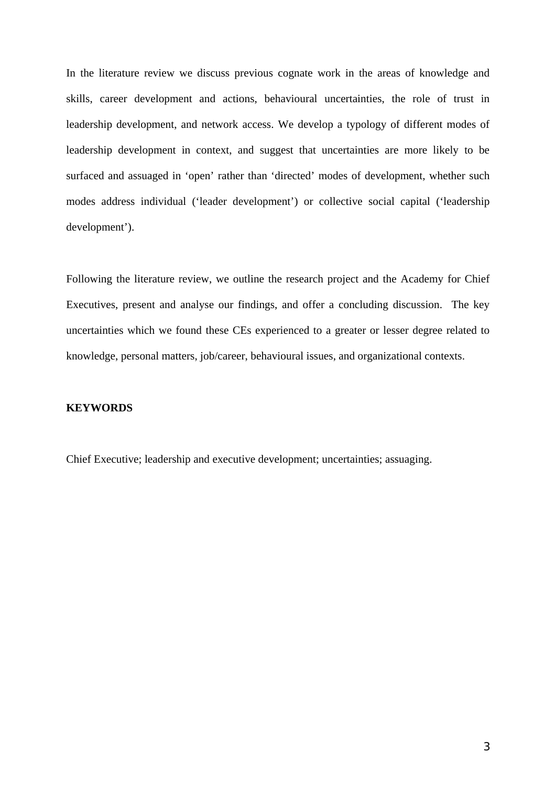In the literature review we discuss previous cognate work in the areas of knowledge and skills, career development and actions, behavioural uncertainties, the role of trust in leadership development, and network access. We develop a typology of different modes of leadership development in context, and suggest that uncertainties are more likely to be surfaced and assuaged in 'open' rather than 'directed' modes of development, whether such modes address individual ('leader development') or collective social capital ('leadership development').

Following the literature review, we outline the research project and the Academy for Chief Executives, present and analyse our findings, and offer a concluding discussion. The key uncertainties which we found these CEs experienced to a greater or lesser degree related to knowledge, personal matters, job/career, behavioural issues, and organizational contexts.

# **KEYWORDS**

Chief Executive; leadership and executive development; uncertainties; assuaging.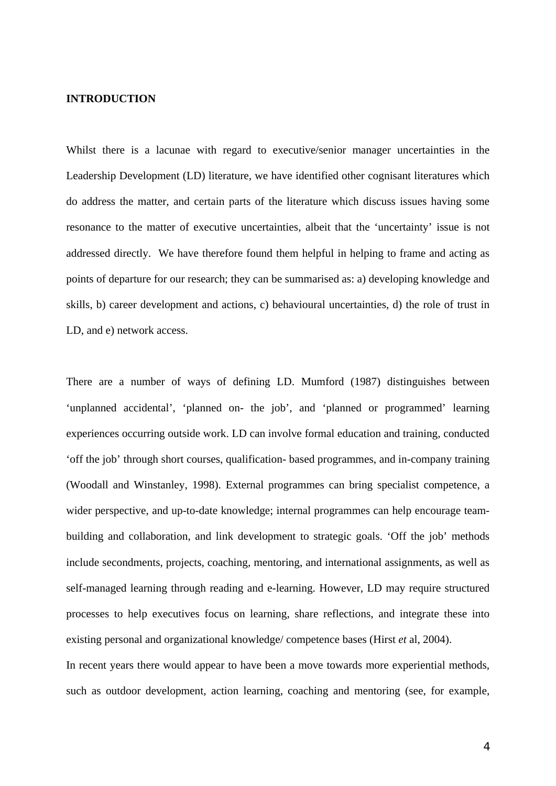### **INTRODUCTION**

Whilst there is a lacunae with regard to executive/senior manager uncertainties in the Leadership Development (LD) literature, we have identified other cognisant literatures which do address the matter, and certain parts of the literature which discuss issues having some resonance to the matter of executive uncertainties, albeit that the 'uncertainty' issue is not addressed directly. We have therefore found them helpful in helping to frame and acting as points of departure for our research; they can be summarised as: a) developing knowledge and skills, b) career development and actions, c) behavioural uncertainties, d) the role of trust in LD, and e) network access.

There are a number of ways of defining LD. Mumford (1987) distinguishes between 'unplanned accidental', 'planned on- the job', and 'planned or programmed' learning experiences occurring outside work. LD can involve formal education and training, conducted 'off the job' through short courses, qualification- based programmes, and in-company training (Woodall and Winstanley, 1998). External programmes can bring specialist competence, a wider perspective, and up-to-date knowledge; internal programmes can help encourage teambuilding and collaboration, and link development to strategic goals. 'Off the job' methods include secondments, projects, coaching, mentoring, and international assignments, as well as self-managed learning through reading and e-learning. However, LD may require structured processes to help executives focus on learning, share reflections, and integrate these into existing personal and organizational knowledge/ competence bases (Hirst *et* al, 2004).

In recent years there would appear to have been a move towards more experiential methods, such as outdoor development, action learning, coaching and mentoring (see, for example,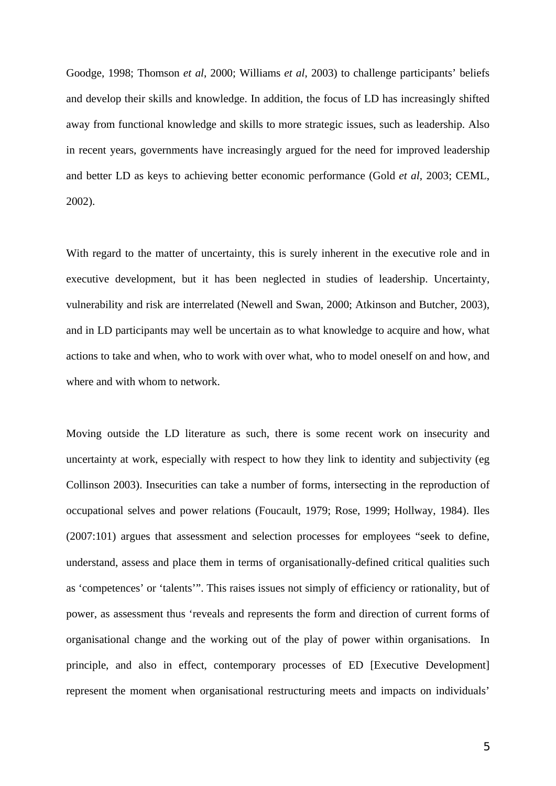Goodge, 1998; Thomson *et al*, 2000; Williams *et al*, 2003) to challenge participants' beliefs and develop their skills and knowledge. In addition, the focus of LD has increasingly shifted away from functional knowledge and skills to more strategic issues, such as leadership. Also in recent years, governments have increasingly argued for the need for improved leadership and better LD as keys to achieving better economic performance (Gold *et al*, 2003; CEML, 2002).

With regard to the matter of uncertainty, this is surely inherent in the executive role and in executive development, but it has been neglected in studies of leadership. Uncertainty, vulnerability and risk are interrelated (Newell and Swan, 2000; Atkinson and Butcher, 2003), and in LD participants may well be uncertain as to what knowledge to acquire and how, what actions to take and when, who to work with over what, who to model oneself on and how, and where and with whom to network.

Moving outside the LD literature as such, there is some recent work on insecurity and uncertainty at work, especially with respect to how they link to identity and subjectivity (eg Collinson 2003). Insecurities can take a number of forms, intersecting in the reproduction of occupational selves and power relations (Foucault, 1979; Rose, 1999; Hollway, 1984). Iles (2007:101) argues that assessment and selection processes for employees "seek to define, understand, assess and place them in terms of organisationally-defined critical qualities such as 'competences' or 'talents'". This raises issues not simply of efficiency or rationality, but of power, as assessment thus 'reveals and represents the form and direction of current forms of organisational change and the working out of the play of power within organisations. In principle, and also in effect, contemporary processes of ED [Executive Development] represent the moment when organisational restructuring meets and impacts on individuals'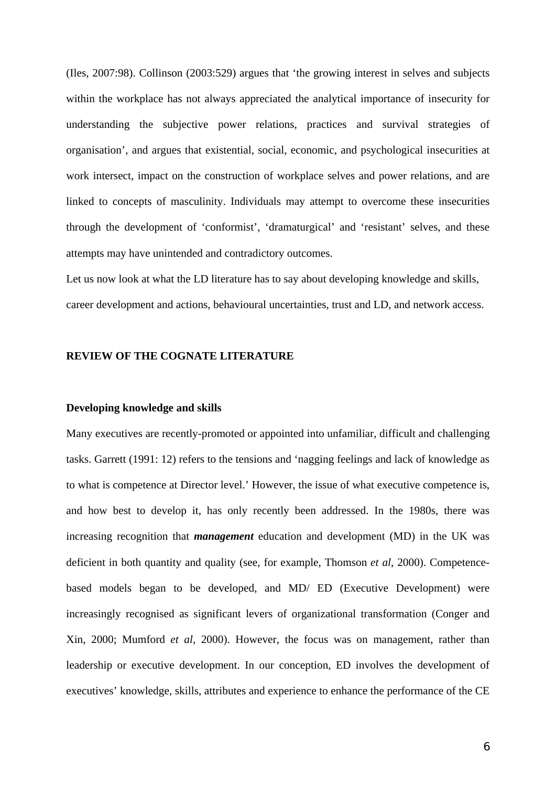(Iles, 2007:98). Collinson (2003:529) argues that 'the growing interest in selves and subjects within the workplace has not always appreciated the analytical importance of insecurity for understanding the subjective power relations, practices and survival strategies of organisation', and argues that existential, social, economic, and psychological insecurities at work intersect, impact on the construction of workplace selves and power relations, and are linked to concepts of masculinity. Individuals may attempt to overcome these insecurities through the development of 'conformist', 'dramaturgical' and 'resistant' selves, and these attempts may have unintended and contradictory outcomes.

Let us now look at what the LD literature has to say about developing knowledge and skills, career development and actions, behavioural uncertainties, trust and LD, and network access.

# **REVIEW OF THE COGNATE LITERATURE**

#### **Developing knowledge and skills**

Many executives are recently-promoted or appointed into unfamiliar, difficult and challenging tasks. Garrett (1991: 12) refers to the tensions and 'nagging feelings and lack of knowledge as to what is competence at Director level.' However, the issue of what executive competence is, and how best to develop it, has only recently been addressed. In the 1980s, there was increasing recognition that *management* education and development (MD) in the UK was deficient in both quantity and quality (see, for example, Thomson *et al*, 2000). Competencebased models began to be developed, and MD/ ED (Executive Development) were increasingly recognised as significant levers of organizational transformation (Conger and Xin, 2000; Mumford *et al*, 2000). However, the focus was on management, rather than leadership or executive development. In our conception, ED involves the development of executives' knowledge, skills, attributes and experience to enhance the performance of the CE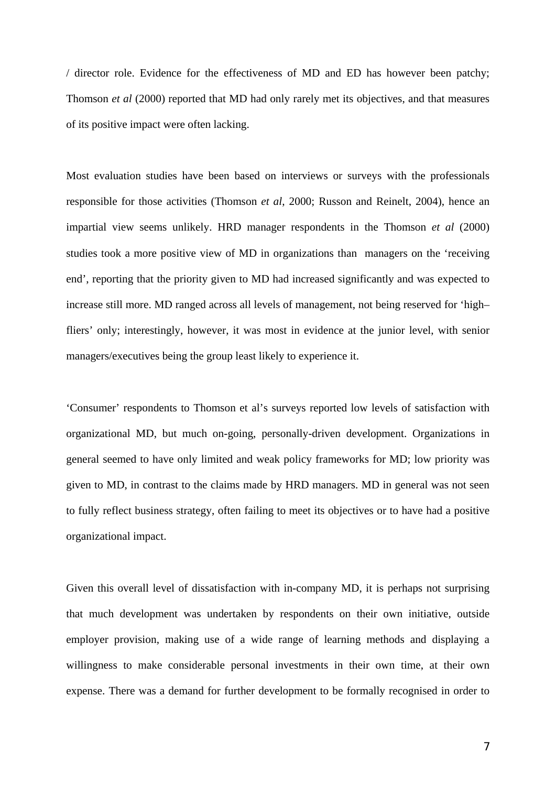/ director role. Evidence for the effectiveness of MD and ED has however been patchy; Thomson *et al* (2000) reported that MD had only rarely met its objectives, and that measures of its positive impact were often lacking.

Most evaluation studies have been based on interviews or surveys with the professionals responsible for those activities (Thomson *et al*, 2000; Russon and Reinelt, 2004), hence an impartial view seems unlikely. HRD manager respondents in the Thomson *et al* (2000) studies took a more positive view of MD in organizations than managers on the 'receiving end', reporting that the priority given to MD had increased significantly and was expected to increase still more. MD ranged across all levels of management, not being reserved for 'high– fliers' only; interestingly, however, it was most in evidence at the junior level, with senior managers/executives being the group least likely to experience it.

'Consumer' respondents to Thomson et al's surveys reported low levels of satisfaction with organizational MD, but much on-going, personally-driven development. Organizations in general seemed to have only limited and weak policy frameworks for MD; low priority was given to MD, in contrast to the claims made by HRD managers. MD in general was not seen to fully reflect business strategy, often failing to meet its objectives or to have had a positive organizational impact.

Given this overall level of dissatisfaction with in-company MD, it is perhaps not surprising that much development was undertaken by respondents on their own initiative, outside employer provision, making use of a wide range of learning methods and displaying a willingness to make considerable personal investments in their own time, at their own expense. There was a demand for further development to be formally recognised in order to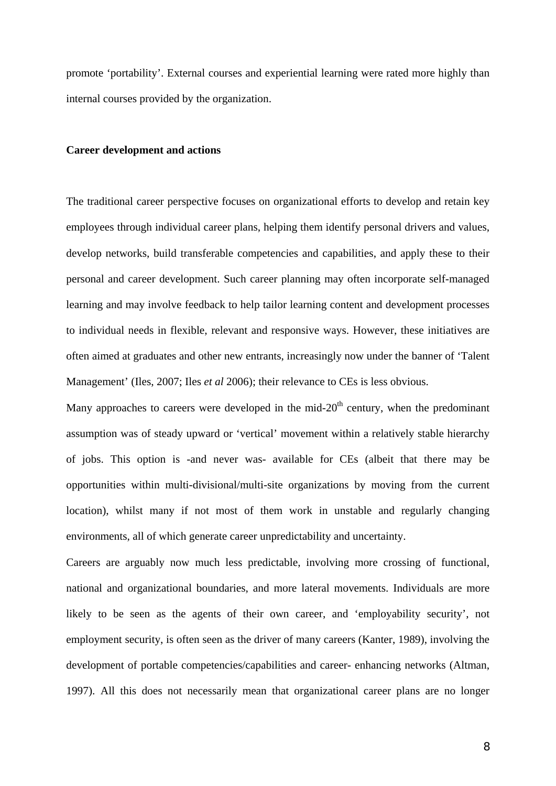promote 'portability'. External courses and experiential learning were rated more highly than internal courses provided by the organization.

### **Career development and actions**

The traditional career perspective focuses on organizational efforts to develop and retain key employees through individual career plans, helping them identify personal drivers and values, develop networks, build transferable competencies and capabilities, and apply these to their personal and career development. Such career planning may often incorporate self-managed learning and may involve feedback to help tailor learning content and development processes to individual needs in flexible, relevant and responsive ways. However, these initiatives are often aimed at graduates and other new entrants, increasingly now under the banner of 'Talent Management' (Iles, 2007; Iles *et al* 2006); their relevance to CEs is less obvious.

Many approaches to careers were developed in the mid- $20<sup>th</sup>$  century, when the predominant assumption was of steady upward or 'vertical' movement within a relatively stable hierarchy of jobs. This option is -and never was- available for CEs (albeit that there may be opportunities within multi-divisional/multi-site organizations by moving from the current location), whilst many if not most of them work in unstable and regularly changing environments, all of which generate career unpredictability and uncertainty.

Careers are arguably now much less predictable, involving more crossing of functional, national and organizational boundaries, and more lateral movements. Individuals are more likely to be seen as the agents of their own career, and 'employability security', not employment security, is often seen as the driver of many careers (Kanter, 1989), involving the development of portable competencies/capabilities and career- enhancing networks (Altman, 1997). All this does not necessarily mean that organizational career plans are no longer

8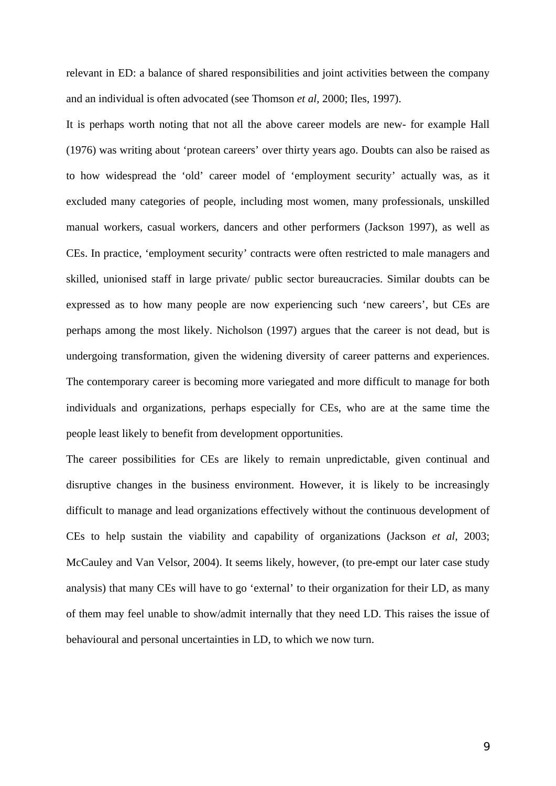relevant in ED: a balance of shared responsibilities and joint activities between the company and an individual is often advocated (see Thomson *et al,* 2000; Iles, 1997).

It is perhaps worth noting that not all the above career models are new- for example Hall (1976) was writing about 'protean careers' over thirty years ago. Doubts can also be raised as to how widespread the 'old' career model of 'employment security' actually was, as it excluded many categories of people, including most women, many professionals, unskilled manual workers, casual workers, dancers and other performers (Jackson 1997), as well as CEs. In practice, 'employment security' contracts were often restricted to male managers and skilled, unionised staff in large private/ public sector bureaucracies. Similar doubts can be expressed as to how many people are now experiencing such 'new careers', but CEs are perhaps among the most likely. Nicholson (1997) argues that the career is not dead, but is undergoing transformation, given the widening diversity of career patterns and experiences. The contemporary career is becoming more variegated and more difficult to manage for both individuals and organizations, perhaps especially for CEs, who are at the same time the people least likely to benefit from development opportunities.

The career possibilities for CEs are likely to remain unpredictable, given continual and disruptive changes in the business environment. However, it is likely to be increasingly difficult to manage and lead organizations effectively without the continuous development of CEs to help sustain the viability and capability of organizations (Jackson *et al*, 2003; McCauley and Van Velsor, 2004). It seems likely, however, (to pre-empt our later case study analysis) that many CEs will have to go 'external' to their organization for their LD, as many of them may feel unable to show/admit internally that they need LD. This raises the issue of behavioural and personal uncertainties in LD, to which we now turn.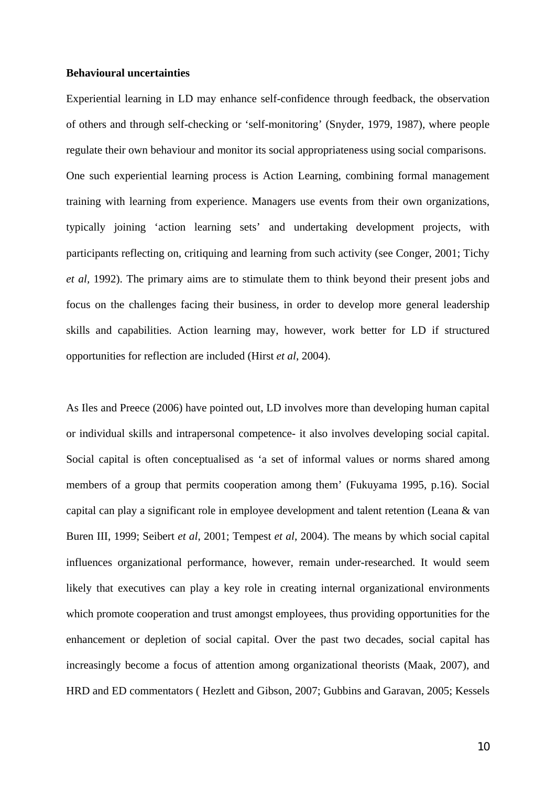#### **Behavioural uncertainties**

Experiential learning in LD may enhance self-confidence through feedback, the observation of others and through self-checking or 'self-monitoring' (Snyder, 1979, 1987), where people regulate their own behaviour and monitor its social appropriateness using social comparisons. One such experiential learning process is Action Learning, combining formal management training with learning from experience. Managers use events from their own organizations, typically joining 'action learning sets' and undertaking development projects, with participants reflecting on, critiquing and learning from such activity (see Conger, 2001; Tichy *et al,* 1992). The primary aims are to stimulate them to think beyond their present jobs and focus on the challenges facing their business, in order to develop more general leadership skills and capabilities. Action learning may, however, work better for LD if structured opportunities for reflection are included (Hirst *et al*, 2004).

As Iles and Preece (2006) have pointed out, LD involves more than developing human capital or individual skills and intrapersonal competence- it also involves developing social capital. Social capital is often conceptualised as 'a set of informal values or norms shared among members of a group that permits cooperation among them' (Fukuyama 1995, p.16). Social capital can play a significant role in employee development and talent retention (Leana & van Buren III, 1999; Seibert *et al*, 2001; Tempest *et al*, 2004). The means by which social capital influences organizational performance, however, remain under-researched. It would seem likely that executives can play a key role in creating internal organizational environments which promote cooperation and trust amongst employees, thus providing opportunities for the enhancement or depletion of social capital. Over the past two decades, social capital has increasingly become a focus of attention among organizational theorists (Maak, 2007), and HRD and ED commentators ( Hezlett and Gibson, 2007; Gubbins and Garavan, 2005; Kessels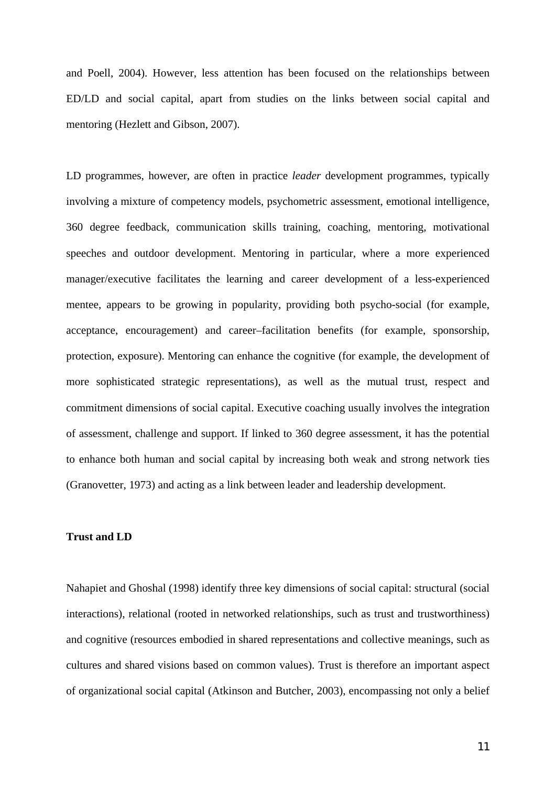and Poell, 2004). However, less attention has been focused on the relationships between ED/LD and social capital, apart from studies on the links between social capital and mentoring (Hezlett and Gibson, 2007).

LD programmes, however, are often in practice *leader* development programmes, typically involving a mixture of competency models, psychometric assessment, emotional intelligence, 360 degree feedback, communication skills training, coaching, mentoring, motivational speeches and outdoor development. Mentoring in particular, where a more experienced manager/executive facilitates the learning and career development of a less-experienced mentee, appears to be growing in popularity, providing both psycho-social (for example, acceptance, encouragement) and career–facilitation benefits (for example, sponsorship, protection, exposure). Mentoring can enhance the cognitive (for example, the development of more sophisticated strategic representations), as well as the mutual trust, respect and commitment dimensions of social capital. Executive coaching usually involves the integration of assessment, challenge and support. If linked to 360 degree assessment, it has the potential to enhance both human and social capital by increasing both weak and strong network ties (Granovetter, 1973) and acting as a link between leader and leadership development.

## **Trust and LD**

Nahapiet and Ghoshal (1998) identify three key dimensions of social capital: structural (social interactions), relational (rooted in networked relationships, such as trust and trustworthiness) and cognitive (resources embodied in shared representations and collective meanings, such as cultures and shared visions based on common values). Trust is therefore an important aspect of organizational social capital (Atkinson and Butcher, 2003), encompassing not only a belief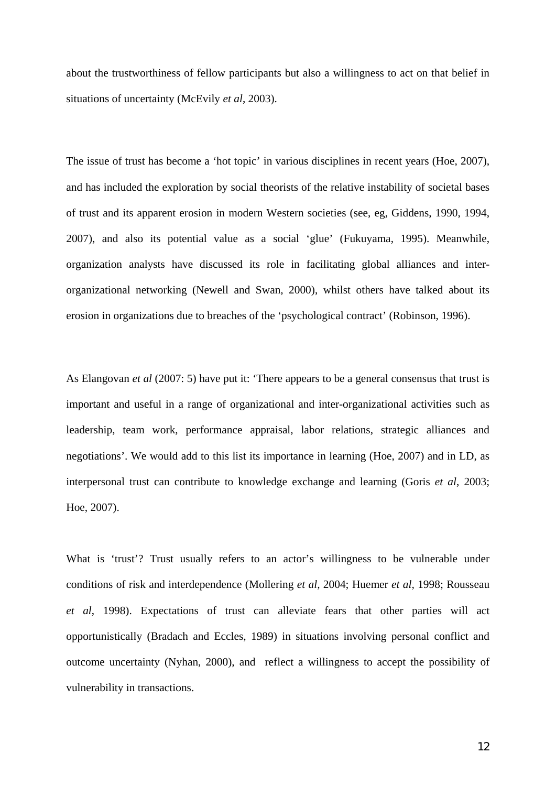about the trustworthiness of fellow participants but also a willingness to act on that belief in situations of uncertainty (McEvily *et al*, 2003).

The issue of trust has become a 'hot topic' in various disciplines in recent years (Hoe, 2007), and has included the exploration by social theorists of the relative instability of societal bases of trust and its apparent erosion in modern Western societies (see, eg, Giddens, 1990, 1994, 2007), and also its potential value as a social 'glue' (Fukuyama, 1995). Meanwhile, organization analysts have discussed its role in facilitating global alliances and interorganizational networking (Newell and Swan, 2000), whilst others have talked about its erosion in organizations due to breaches of the 'psychological contract' (Robinson, 1996).

As Elangovan *et al* (2007: 5) have put it: 'There appears to be a general consensus that trust is important and useful in a range of organizational and inter-organizational activities such as leadership, team work, performance appraisal, labor relations, strategic alliances and negotiations'. We would add to this list its importance in learning (Hoe, 2007) and in LD, as interpersonal trust can contribute to knowledge exchange and learning (Goris *et al*, 2003; Hoe, 2007).

What is 'trust'? Trust usually refers to an actor's willingness to be vulnerable under conditions of risk and interdependence (Mollering *et al,* 2004; Huemer *et al,* 1998; Rousseau *et al*, 1998). Expectations of trust can alleviate fears that other parties will act opportunistically (Bradach and Eccles, 1989) in situations involving personal conflict and outcome uncertainty (Nyhan, 2000), and reflect a willingness to accept the possibility of vulnerability in transactions.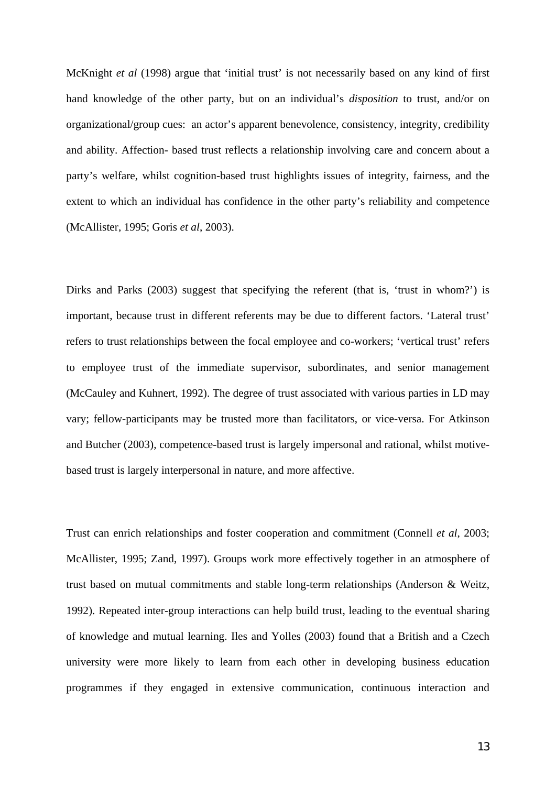McKnight *et al* (1998) argue that 'initial trust' is not necessarily based on any kind of first hand knowledge of the other party, but on an individual's *disposition* to trust, and/or on organizational/group cues: an actor's apparent benevolence, consistency, integrity, credibility and ability. Affection- based trust reflects a relationship involving care and concern about a party's welfare, whilst cognition-based trust highlights issues of integrity, fairness, and the extent to which an individual has confidence in the other party's reliability and competence (McAllister, 1995; Goris *et al*, 2003).

Dirks and Parks (2003) suggest that specifying the referent (that is, 'trust in whom?') is important, because trust in different referents may be due to different factors. 'Lateral trust' refers to trust relationships between the focal employee and co-workers; 'vertical trust' refers to employee trust of the immediate supervisor, subordinates, and senior management (McCauley and Kuhnert, 1992). The degree of trust associated with various parties in LD may vary; fellow-participants may be trusted more than facilitators, or vice-versa. For Atkinson and Butcher (2003), competence-based trust is largely impersonal and rational, whilst motivebased trust is largely interpersonal in nature, and more affective.

Trust can enrich relationships and foster cooperation and commitment (Connell *et al*, 2003; McAllister, 1995; Zand, 1997). Groups work more effectively together in an atmosphere of trust based on mutual commitments and stable long-term relationships (Anderson & Weitz, 1992). Repeated inter-group interactions can help build trust, leading to the eventual sharing of knowledge and mutual learning. Iles and Yolles (2003) found that a British and a Czech university were more likely to learn from each other in developing business education programmes if they engaged in extensive communication, continuous interaction and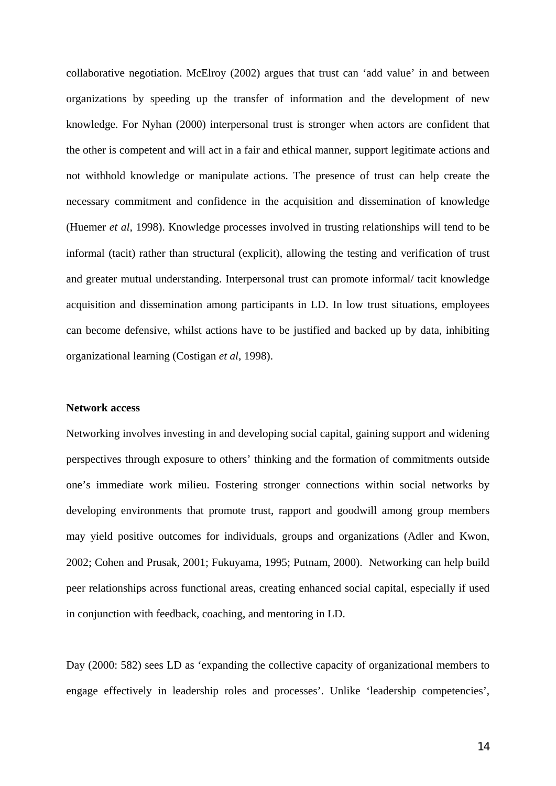collaborative negotiation. McElroy (2002) argues that trust can 'add value' in and between organizations by speeding up the transfer of information and the development of new knowledge. For Nyhan (2000) interpersonal trust is stronger when actors are confident that the other is competent and will act in a fair and ethical manner, support legitimate actions and not withhold knowledge or manipulate actions. The presence of trust can help create the necessary commitment and confidence in the acquisition and dissemination of knowledge (Huemer *et al,* 1998). Knowledge processes involved in trusting relationships will tend to be informal (tacit) rather than structural (explicit), allowing the testing and verification of trust and greater mutual understanding. Interpersonal trust can promote informal/ tacit knowledge acquisition and dissemination among participants in LD. In low trust situations, employees can become defensive, whilst actions have to be justified and backed up by data, inhibiting organizational learning (Costigan *et al*, 1998).

#### **Network access**

Networking involves investing in and developing social capital, gaining support and widening perspectives through exposure to others' thinking and the formation of commitments outside one's immediate work milieu. Fostering stronger connections within social networks by developing environments that promote trust, rapport and goodwill among group members may yield positive outcomes for individuals, groups and organizations (Adler and Kwon, 2002; Cohen and Prusak, 2001; Fukuyama, 1995; Putnam, 2000). Networking can help build peer relationships across functional areas, creating enhanced social capital, especially if used in conjunction with feedback, coaching, and mentoring in LD.

Day (2000: 582) sees LD as 'expanding the collective capacity of organizational members to engage effectively in leadership roles and processes'. Unlike 'leadership competencies',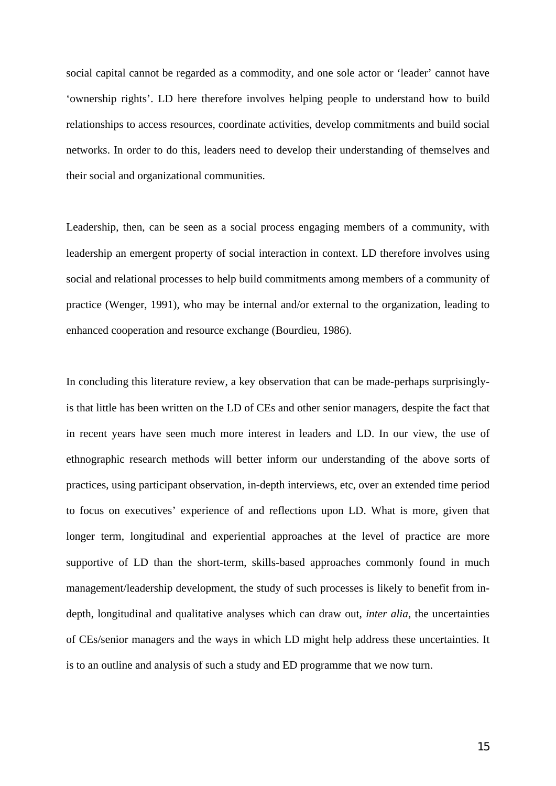social capital cannot be regarded as a commodity, and one sole actor or 'leader' cannot have 'ownership rights'. LD here therefore involves helping people to understand how to build relationships to access resources, coordinate activities, develop commitments and build social networks. In order to do this, leaders need to develop their understanding of themselves and their social and organizational communities.

Leadership, then, can be seen as a social process engaging members of a community, with leadership an emergent property of social interaction in context. LD therefore involves using social and relational processes to help build commitments among members of a community of practice (Wenger, 1991), who may be internal and/or external to the organization, leading to enhanced cooperation and resource exchange (Bourdieu, 1986).

In concluding this literature review, a key observation that can be made-perhaps surprisinglyis that little has been written on the LD of CEs and other senior managers, despite the fact that in recent years have seen much more interest in leaders and LD. In our view, the use of ethnographic research methods will better inform our understanding of the above sorts of practices, using participant observation, in-depth interviews, etc, over an extended time period to focus on executives' experience of and reflections upon LD. What is more, given that longer term, longitudinal and experiential approaches at the level of practice are more supportive of LD than the short-term, skills-based approaches commonly found in much management/leadership development, the study of such processes is likely to benefit from indepth, longitudinal and qualitative analyses which can draw out*, inter alia*, the uncertainties of CEs/senior managers and the ways in which LD might help address these uncertainties. It is to an outline and analysis of such a study and ED programme that we now turn.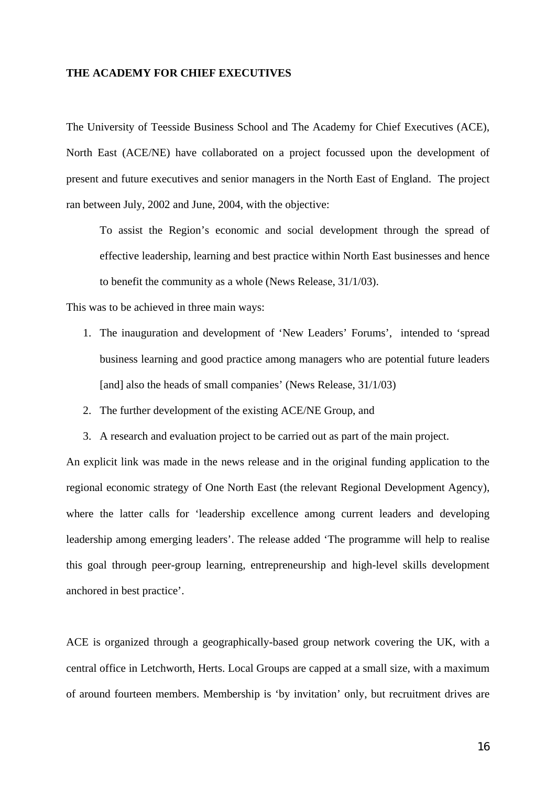## **THE ACADEMY FOR CHIEF EXECUTIVES**

The University of Teesside Business School and The Academy for Chief Executives (ACE), North East (ACE/NE) have collaborated on a project focussed upon the development of present and future executives and senior managers in the North East of England. The project ran between July, 2002 and June, 2004, with the objective:

To assist the Region's economic and social development through the spread of effective leadership, learning and best practice within North East businesses and hence to benefit the community as a whole (News Release, 31/1/03).

This was to be achieved in three main ways:

- 1. The inauguration and development of 'New Leaders' Forums', intended to 'spread business learning and good practice among managers who are potential future leaders [and] also the heads of small companies' (News Release,  $31/1/03$ )
- 2. The further development of the existing ACE/NE Group, and
- 3. A research and evaluation project to be carried out as part of the main project.

An explicit link was made in the news release and in the original funding application to the regional economic strategy of One North East (the relevant Regional Development Agency), where the latter calls for 'leadership excellence among current leaders and developing leadership among emerging leaders'. The release added 'The programme will help to realise this goal through peer-group learning, entrepreneurship and high-level skills development anchored in best practice'.

ACE is organized through a geographically-based group network covering the UK, with a central office in Letchworth, Herts. Local Groups are capped at a small size, with a maximum of around fourteen members. Membership is 'by invitation' only, but recruitment drives are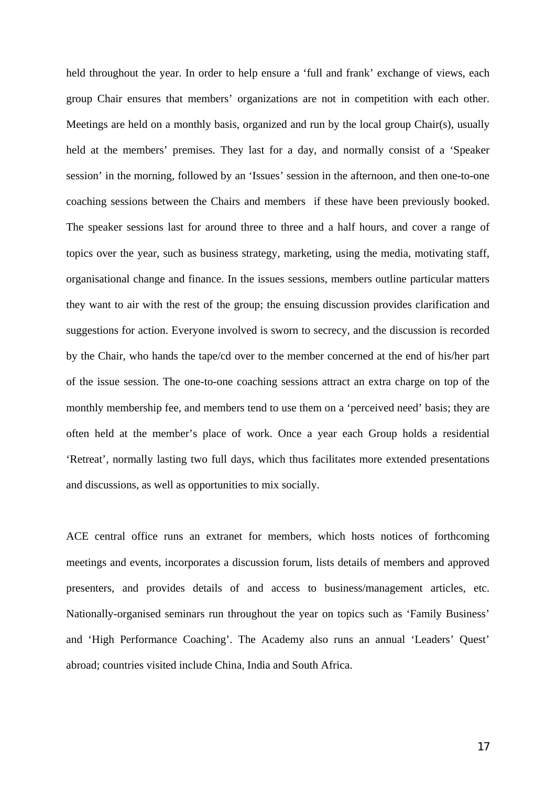held throughout the year. In order to help ensure a 'full and frank' exchange of views, each group Chair ensures that members' organizations are not in competition with each other. Meetings are held on a monthly basis, organized and run by the local group Chair(s), usually held at the members' premises. They last for a day, and normally consist of a 'Speaker session' in the morning, followed by an 'Issues' session in the afternoon, and then one-to-one coaching sessions between the Chairs and members if these have been previously booked. The speaker sessions last for around three to three and a half hours, and cover a range of topics over the year, such as business strategy, marketing, using the media, motivating staff, organisational change and finance. In the issues sessions, members outline particular matters they want to air with the rest of the group; the ensuing discussion provides clarification and suggestions for action. Everyone involved is sworn to secrecy, and the discussion is recorded by the Chair, who hands the tape/cd over to the member concerned at the end of his/her part of the issue session. The one-to-one coaching sessions attract an extra charge on top of the monthly membership fee, and members tend to use them on a 'perceived need' basis; they are often held at the member's place of work. Once a year each Group holds a residential 'Retreat', normally lasting two full days, which thus facilitates more extended presentations and discussions, as well as opportunities to mix socially.

ACE central office runs an extranet for members, which hosts notices of forthcoming meetings and events, incorporates a discussion forum, lists details of members and approved presenters, and provides details of and access to business/management articles, etc. Nationally-organised seminars run throughout the year on topics such as 'Family Business' and 'High Performance Coaching'. The Academy also runs an annual 'Leaders' Quest' abroad; countries visited include China, India and South Africa.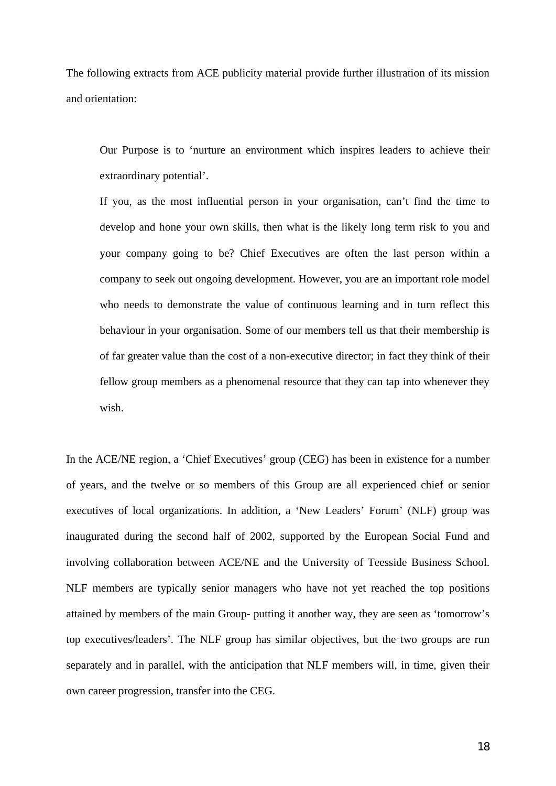The following extracts from ACE publicity material provide further illustration of its mission and orientation:

Our Purpose is to 'nurture an environment which inspires leaders to achieve their extraordinary potential'.

If you, as the most influential person in your organisation, can't find the time to develop and hone your own skills, then what is the likely long term risk to you and your company going to be? Chief Executives are often the last person within a company to seek out ongoing development. However, you are an important role model who needs to demonstrate the value of continuous learning and in turn reflect this behaviour in your organisation. Some of our members tell us that their membership is of far greater value than the cost of a non-executive director; in fact they think of their fellow group members as a phenomenal resource that they can tap into whenever they wish.

In the ACE/NE region, a 'Chief Executives' group (CEG) has been in existence for a number of years, and the twelve or so members of this Group are all experienced chief or senior executives of local organizations. In addition, a 'New Leaders' Forum' (NLF) group was inaugurated during the second half of 2002, supported by the European Social Fund and involving collaboration between ACE/NE and the University of Teesside Business School. NLF members are typically senior managers who have not yet reached the top positions attained by members of the main Group- putting it another way, they are seen as 'tomorrow's top executives/leaders'. The NLF group has similar objectives, but the two groups are run separately and in parallel, with the anticipation that NLF members will, in time, given their own career progression, transfer into the CEG.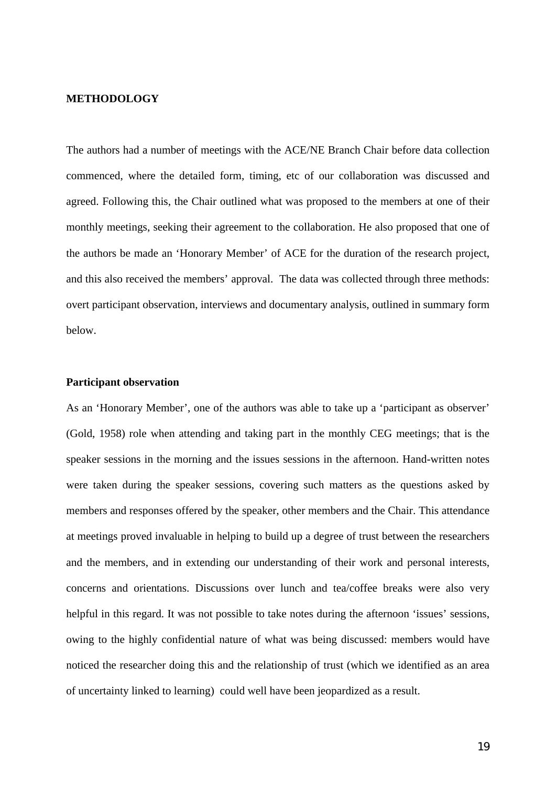## **METHODOLOGY**

The authors had a number of meetings with the ACE/NE Branch Chair before data collection commenced, where the detailed form, timing, etc of our collaboration was discussed and agreed. Following this, the Chair outlined what was proposed to the members at one of their monthly meetings, seeking their agreement to the collaboration. He also proposed that one of the authors be made an 'Honorary Member' of ACE for the duration of the research project, and this also received the members' approval. The data was collected through three methods: overt participant observation, interviews and documentary analysis, outlined in summary form below.

#### **Participant observation**

As an 'Honorary Member', one of the authors was able to take up a 'participant as observer' (Gold, 1958) role when attending and taking part in the monthly CEG meetings; that is the speaker sessions in the morning and the issues sessions in the afternoon. Hand-written notes were taken during the speaker sessions, covering such matters as the questions asked by members and responses offered by the speaker, other members and the Chair. This attendance at meetings proved invaluable in helping to build up a degree of trust between the researchers and the members, and in extending our understanding of their work and personal interests, concerns and orientations. Discussions over lunch and tea/coffee breaks were also very helpful in this regard. It was not possible to take notes during the afternoon 'issues' sessions, owing to the highly confidential nature of what was being discussed: members would have noticed the researcher doing this and the relationship of trust (which we identified as an area of uncertainty linked to learning) could well have been jeopardized as a result.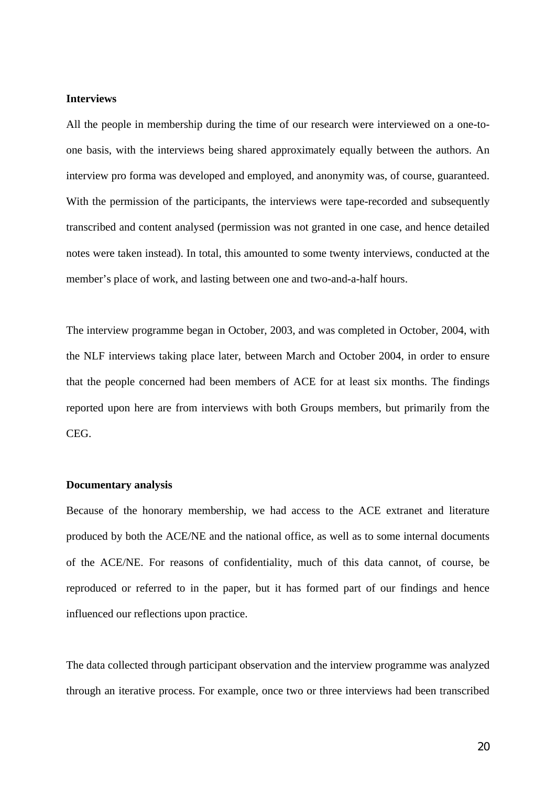## **Interviews**

All the people in membership during the time of our research were interviewed on a one-toone basis, with the interviews being shared approximately equally between the authors. An interview pro forma was developed and employed, and anonymity was, of course, guaranteed. With the permission of the participants, the interviews were tape-recorded and subsequently transcribed and content analysed (permission was not granted in one case, and hence detailed notes were taken instead). In total, this amounted to some twenty interviews, conducted at the member's place of work, and lasting between one and two-and-a-half hours.

The interview programme began in October, 2003, and was completed in October, 2004, with the NLF interviews taking place later, between March and October 2004, in order to ensure that the people concerned had been members of ACE for at least six months. The findings reported upon here are from interviews with both Groups members, but primarily from the CEG.

#### **Documentary analysis**

Because of the honorary membership, we had access to the ACE extranet and literature produced by both the ACE/NE and the national office, as well as to some internal documents of the ACE/NE. For reasons of confidentiality, much of this data cannot, of course, be reproduced or referred to in the paper, but it has formed part of our findings and hence influenced our reflections upon practice.

The data collected through participant observation and the interview programme was analyzed through an iterative process. For example, once two or three interviews had been transcribed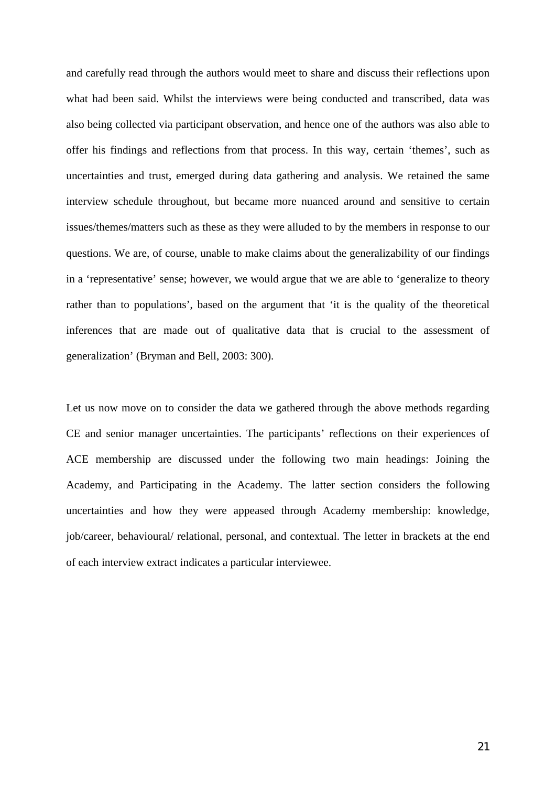and carefully read through the authors would meet to share and discuss their reflections upon what had been said. Whilst the interviews were being conducted and transcribed, data was also being collected via participant observation, and hence one of the authors was also able to offer his findings and reflections from that process. In this way, certain 'themes', such as uncertainties and trust, emerged during data gathering and analysis. We retained the same interview schedule throughout, but became more nuanced around and sensitive to certain issues/themes/matters such as these as they were alluded to by the members in response to our questions. We are, of course, unable to make claims about the generalizability of our findings in a 'representative' sense; however, we would argue that we are able to 'generalize to theory rather than to populations', based on the argument that 'it is the quality of the theoretical inferences that are made out of qualitative data that is crucial to the assessment of generalization' (Bryman and Bell, 2003: 300).

Let us now move on to consider the data we gathered through the above methods regarding CE and senior manager uncertainties. The participants' reflections on their experiences of ACE membership are discussed under the following two main headings: Joining the Academy, and Participating in the Academy. The latter section considers the following uncertainties and how they were appeased through Academy membership: knowledge, job/career, behavioural/ relational, personal, and contextual. The letter in brackets at the end of each interview extract indicates a particular interviewee.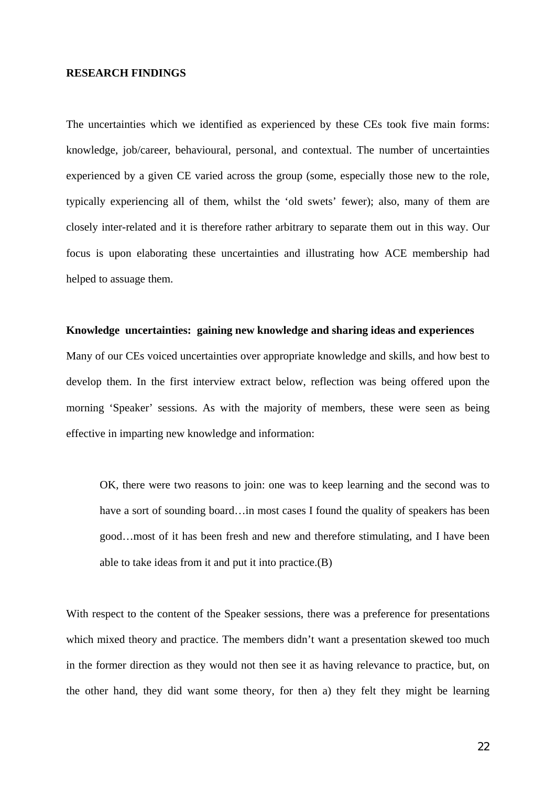#### **RESEARCH FINDINGS**

The uncertainties which we identified as experienced by these CEs took five main forms: knowledge, job/career, behavioural, personal, and contextual. The number of uncertainties experienced by a given CE varied across the group (some, especially those new to the role, typically experiencing all of them, whilst the 'old swets' fewer); also, many of them are closely inter-related and it is therefore rather arbitrary to separate them out in this way. Our focus is upon elaborating these uncertainties and illustrating how ACE membership had helped to assuage them.

#### **Knowledge uncertainties: gaining new knowledge and sharing ideas and experiences**

Many of our CEs voiced uncertainties over appropriate knowledge and skills, and how best to develop them. In the first interview extract below, reflection was being offered upon the morning 'Speaker' sessions. As with the majority of members, these were seen as being effective in imparting new knowledge and information:

OK, there were two reasons to join: one was to keep learning and the second was to have a sort of sounding board...in most cases I found the quality of speakers has been good…most of it has been fresh and new and therefore stimulating, and I have been able to take ideas from it and put it into practice.(B)

With respect to the content of the Speaker sessions, there was a preference for presentations which mixed theory and practice. The members didn't want a presentation skewed too much in the former direction as they would not then see it as having relevance to practice, but, on the other hand, they did want some theory, for then a) they felt they might be learning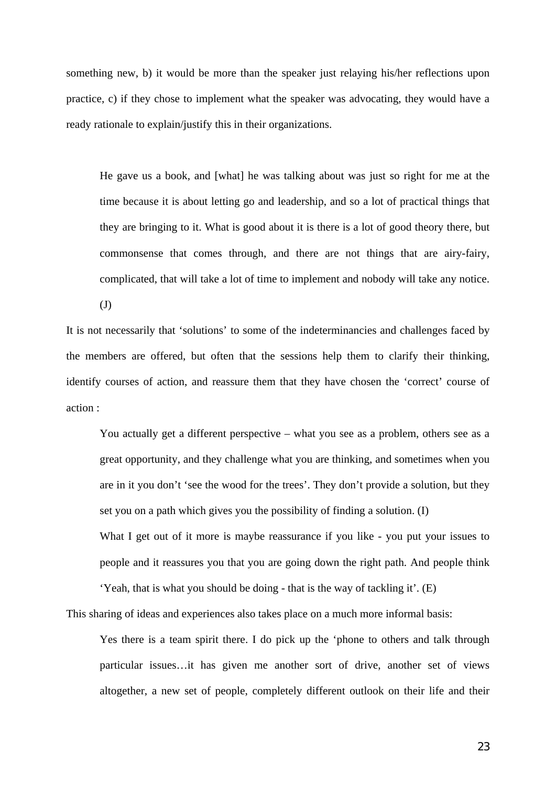something new, b) it would be more than the speaker just relaying his/her reflections upon practice, c) if they chose to implement what the speaker was advocating, they would have a ready rationale to explain/justify this in their organizations.

He gave us a book, and [what] he was talking about was just so right for me at the time because it is about letting go and leadership, and so a lot of practical things that they are bringing to it. What is good about it is there is a lot of good theory there, but commonsense that comes through, and there are not things that are airy-fairy, complicated, that will take a lot of time to implement and nobody will take any notice.

(J)

It is not necessarily that 'solutions' to some of the indeterminancies and challenges faced by the members are offered, but often that the sessions help them to clarify their thinking, identify courses of action, and reassure them that they have chosen the 'correct' course of action :

You actually get a different perspective – what you see as a problem, others see as a great opportunity, and they challenge what you are thinking, and sometimes when you are in it you don't 'see the wood for the trees'. They don't provide a solution, but they set you on a path which gives you the possibility of finding a solution. (I)

What I get out of it more is maybe reassurance if you like - you put your issues to people and it reassures you that you are going down the right path. And people think 'Yeah, that is what you should be doing - that is the way of tackling it'. (E)

This sharing of ideas and experiences also takes place on a much more informal basis:

Yes there is a team spirit there. I do pick up the 'phone to others and talk through particular issues…it has given me another sort of drive, another set of views altogether, a new set of people, completely different outlook on their life and their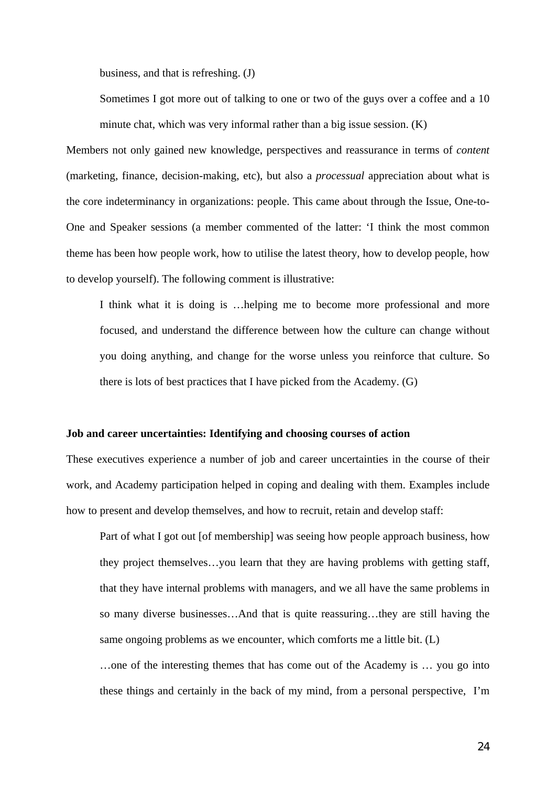business, and that is refreshing. (J)

Sometimes I got more out of talking to one or two of the guys over a coffee and a 10 minute chat, which was very informal rather than a big issue session. (K)

Members not only gained new knowledge, perspectives and reassurance in terms of *content* (marketing, finance, decision-making, etc), but also a *processual* appreciation about what is the core indeterminancy in organizations: people. This came about through the Issue, One-to-One and Speaker sessions (a member commented of the latter: 'I think the most common theme has been how people work, how to utilise the latest theory, how to develop people, how to develop yourself). The following comment is illustrative:

I think what it is doing is …helping me to become more professional and more focused, and understand the difference between how the culture can change without you doing anything, and change for the worse unless you reinforce that culture. So there is lots of best practices that I have picked from the Academy. (G)

#### **Job and career uncertainties: Identifying and choosing courses of action**

These executives experience a number of job and career uncertainties in the course of their work, and Academy participation helped in coping and dealing with them. Examples include how to present and develop themselves, and how to recruit, retain and develop staff:

Part of what I got out [of membership] was seeing how people approach business, how they project themselves…you learn that they are having problems with getting staff, that they have internal problems with managers, and we all have the same problems in so many diverse businesses…And that is quite reassuring…they are still having the same ongoing problems as we encounter, which comforts me a little bit. (L)

…one of the interesting themes that has come out of the Academy is … you go into these things and certainly in the back of my mind, from a personal perspective, I'm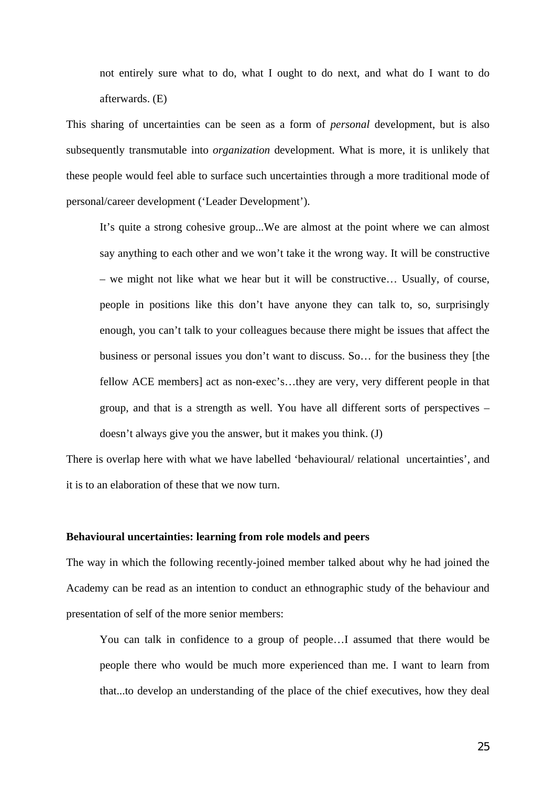not entirely sure what to do, what I ought to do next, and what do I want to do afterwards. (E)

This sharing of uncertainties can be seen as a form of *personal* development, but is also subsequently transmutable into *organization* development. What is more, it is unlikely that these people would feel able to surface such uncertainties through a more traditional mode of personal/career development ('Leader Development').

It's quite a strong cohesive group...We are almost at the point where we can almost say anything to each other and we won't take it the wrong way. It will be constructive – we might not like what we hear but it will be constructive… Usually, of course, people in positions like this don't have anyone they can talk to, so, surprisingly enough, you can't talk to your colleagues because there might be issues that affect the business or personal issues you don't want to discuss. So… for the business they [the fellow ACE members] act as non-exec's…they are very, very different people in that group, and that is a strength as well. You have all different sorts of perspectives – doesn't always give you the answer, but it makes you think. (J)

There is overlap here with what we have labelled 'behavioural/ relational uncertainties', and it is to an elaboration of these that we now turn.

#### **Behavioural uncertainties: learning from role models and peers**

The way in which the following recently-joined member talked about why he had joined the Academy can be read as an intention to conduct an ethnographic study of the behaviour and presentation of self of the more senior members:

You can talk in confidence to a group of people…I assumed that there would be people there who would be much more experienced than me. I want to learn from that...to develop an understanding of the place of the chief executives, how they deal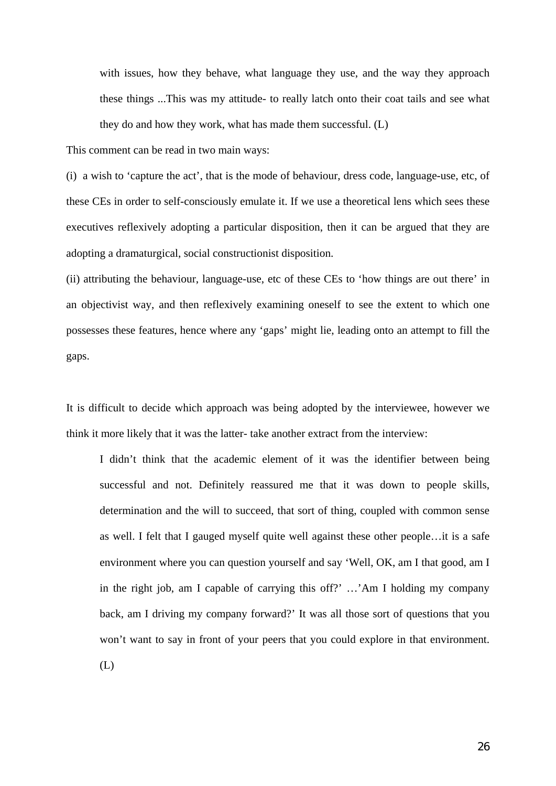with issues, how they behave, what language they use, and the way they approach these things ...This was my attitude- to really latch onto their coat tails and see what they do and how they work, what has made them successful. (L)

This comment can be read in two main ways:

(i) a wish to 'capture the act', that is the mode of behaviour, dress code, language-use, etc, of these CEs in order to self-consciously emulate it. If we use a theoretical lens which sees these executives reflexively adopting a particular disposition, then it can be argued that they are adopting a dramaturgical, social constructionist disposition.

(ii) attributing the behaviour, language-use, etc of these CEs to 'how things are out there' in an objectivist way, and then reflexively examining oneself to see the extent to which one possesses these features, hence where any 'gaps' might lie, leading onto an attempt to fill the gaps.

It is difficult to decide which approach was being adopted by the interviewee, however we think it more likely that it was the latter- take another extract from the interview:

I didn't think that the academic element of it was the identifier between being successful and not. Definitely reassured me that it was down to people skills, determination and the will to succeed, that sort of thing, coupled with common sense as well. I felt that I gauged myself quite well against these other people…it is a safe environment where you can question yourself and say 'Well, OK, am I that good, am I in the right job, am I capable of carrying this off?' …'Am I holding my company back, am I driving my company forward?' It was all those sort of questions that you won't want to say in front of your peers that you could explore in that environment.

(L)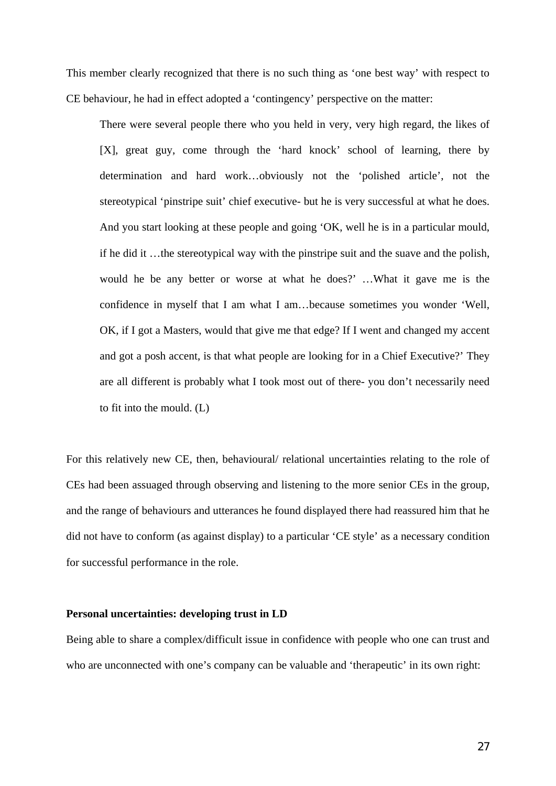This member clearly recognized that there is no such thing as 'one best way' with respect to CE behaviour, he had in effect adopted a 'contingency' perspective on the matter:

There were several people there who you held in very, very high regard, the likes of [X], great guy, come through the 'hard knock' school of learning, there by determination and hard work…obviously not the 'polished article', not the stereotypical 'pinstripe suit' chief executive- but he is very successful at what he does. And you start looking at these people and going 'OK, well he is in a particular mould, if he did it …the stereotypical way with the pinstripe suit and the suave and the polish, would he be any better or worse at what he does?' …What it gave me is the confidence in myself that I am what I am…because sometimes you wonder 'Well, OK, if I got a Masters, would that give me that edge? If I went and changed my accent and got a posh accent, is that what people are looking for in a Chief Executive?' They are all different is probably what I took most out of there- you don't necessarily need to fit into the mould. (L)

For this relatively new CE, then, behavioural/ relational uncertainties relating to the role of CEs had been assuaged through observing and listening to the more senior CEs in the group, and the range of behaviours and utterances he found displayed there had reassured him that he did not have to conform (as against display) to a particular 'CE style' as a necessary condition for successful performance in the role.

#### **Personal uncertainties: developing trust in LD**

Being able to share a complex/difficult issue in confidence with people who one can trust and who are unconnected with one's company can be valuable and 'therapeutic' in its own right: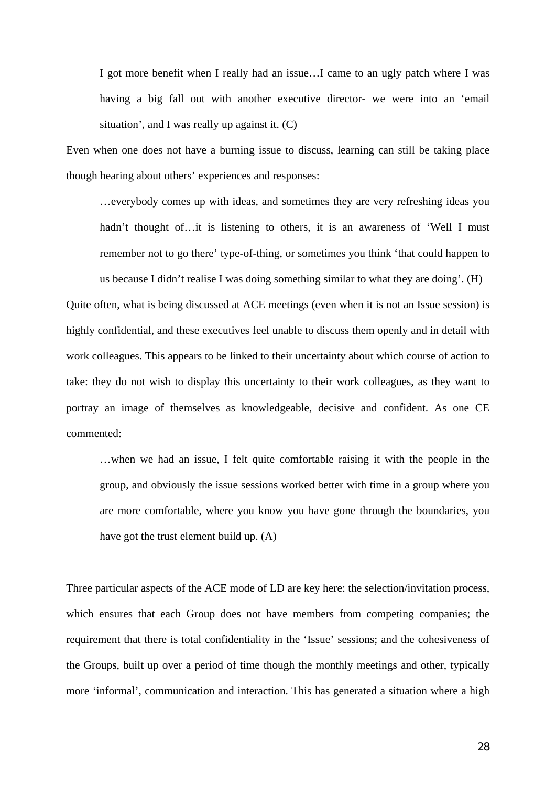I got more benefit when I really had an issue…I came to an ugly patch where I was having a big fall out with another executive director- we were into an 'email situation', and I was really up against it. (C)

Even when one does not have a burning issue to discuss, learning can still be taking place though hearing about others' experiences and responses:

…everybody comes up with ideas, and sometimes they are very refreshing ideas you hadn't thought of…it is listening to others, it is an awareness of 'Well I must remember not to go there' type-of-thing, or sometimes you think 'that could happen to us because I didn't realise I was doing something similar to what they are doing'. (H)

Quite often, what is being discussed at ACE meetings (even when it is not an Issue session) is highly confidential, and these executives feel unable to discuss them openly and in detail with work colleagues. This appears to be linked to their uncertainty about which course of action to take: they do not wish to display this uncertainty to their work colleagues, as they want to portray an image of themselves as knowledgeable, decisive and confident. As one CE commented:

…when we had an issue, I felt quite comfortable raising it with the people in the group, and obviously the issue sessions worked better with time in a group where you are more comfortable, where you know you have gone through the boundaries, you have got the trust element build up. (A)

Three particular aspects of the ACE mode of LD are key here: the selection/invitation process, which ensures that each Group does not have members from competing companies; the requirement that there is total confidentiality in the 'Issue' sessions; and the cohesiveness of the Groups, built up over a period of time though the monthly meetings and other, typically more 'informal', communication and interaction. This has generated a situation where a high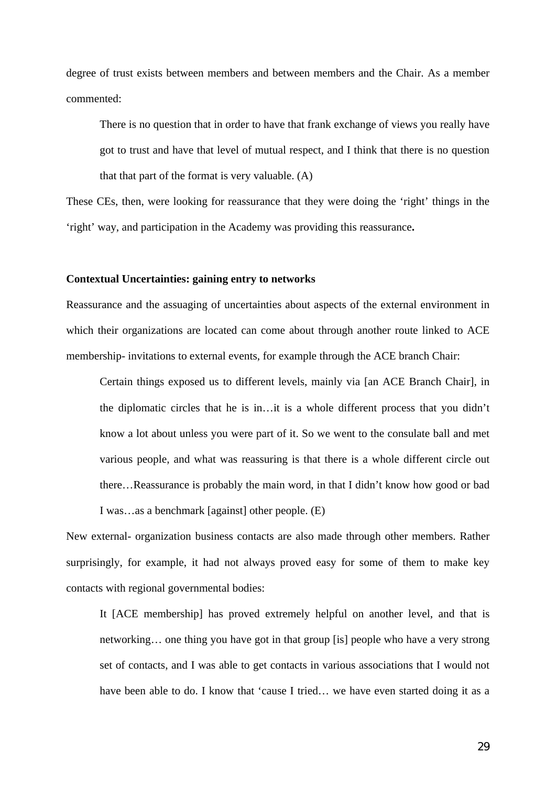degree of trust exists between members and between members and the Chair. As a member commented:

There is no question that in order to have that frank exchange of views you really have got to trust and have that level of mutual respect, and I think that there is no question that that part of the format is very valuable. (A)

These CEs, then, were looking for reassurance that they were doing the 'right' things in the 'right' way, and participation in the Academy was providing this reassurance**.** 

#### **Contextual Uncertainties: gaining entry to networks**

Reassurance and the assuaging of uncertainties about aspects of the external environment in which their organizations are located can come about through another route linked to ACE membership- invitations to external events, for example through the ACE branch Chair:

Certain things exposed us to different levels, mainly via [an ACE Branch Chair], in the diplomatic circles that he is in…it is a whole different process that you didn't know a lot about unless you were part of it. So we went to the consulate ball and met various people, and what was reassuring is that there is a whole different circle out there…Reassurance is probably the main word, in that I didn't know how good or bad I was…as a benchmark [against] other people. (E)

New external- organization business contacts are also made through other members. Rather surprisingly, for example, it had not always proved easy for some of them to make key contacts with regional governmental bodies:

It [ACE membership] has proved extremely helpful on another level, and that is networking… one thing you have got in that group [is] people who have a very strong set of contacts, and I was able to get contacts in various associations that I would not have been able to do. I know that 'cause I tried... we have even started doing it as a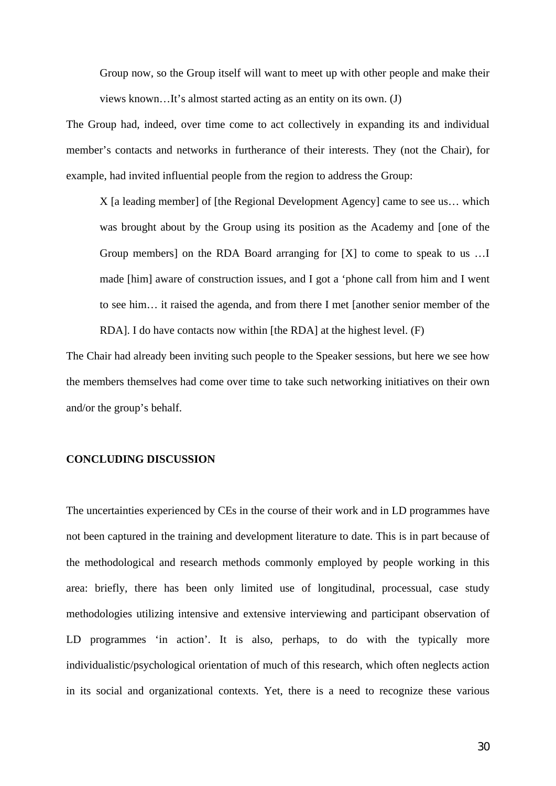Group now, so the Group itself will want to meet up with other people and make their views known…It's almost started acting as an entity on its own. (J)

The Group had, indeed, over time come to act collectively in expanding its and individual member's contacts and networks in furtherance of their interests. They (not the Chair), for example, had invited influential people from the region to address the Group:

X [a leading member] of [the Regional Development Agency] came to see us… which was brought about by the Group using its position as the Academy and [one of the Group members] on the RDA Board arranging for [X] to come to speak to us …I made [him] aware of construction issues, and I got a 'phone call from him and I went to see him… it raised the agenda, and from there I met [another senior member of the RDA]. I do have contacts now within [the RDA] at the highest level. (F)

The Chair had already been inviting such people to the Speaker sessions, but here we see how the members themselves had come over time to take such networking initiatives on their own and/or the group's behalf.

### **CONCLUDING DISCUSSION**

The uncertainties experienced by CEs in the course of their work and in LD programmes have not been captured in the training and development literature to date. This is in part because of the methodological and research methods commonly employed by people working in this area: briefly, there has been only limited use of longitudinal, processual, case study methodologies utilizing intensive and extensive interviewing and participant observation of LD programmes 'in action'. It is also, perhaps, to do with the typically more individualistic/psychological orientation of much of this research, which often neglects action in its social and organizational contexts. Yet, there is a need to recognize these various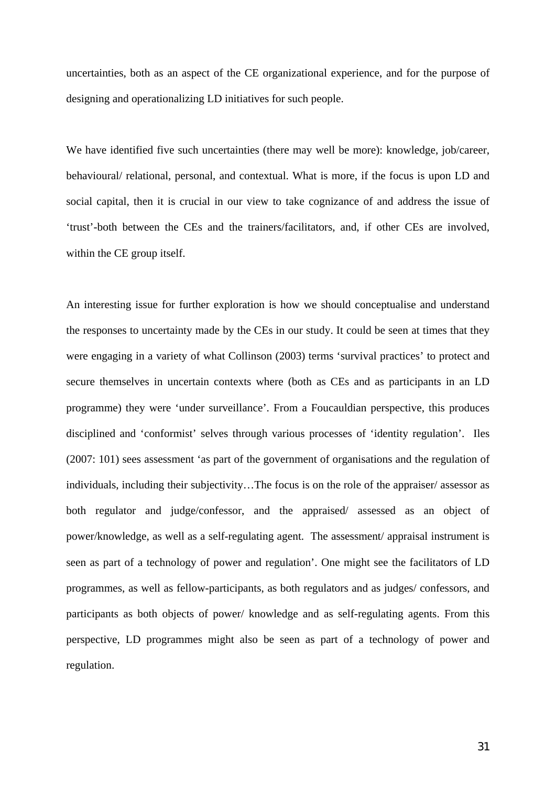uncertainties, both as an aspect of the CE organizational experience, and for the purpose of designing and operationalizing LD initiatives for such people.

We have identified five such uncertainties (there may well be more): knowledge, job/career, behavioural/ relational, personal, and contextual. What is more, if the focus is upon LD and social capital, then it is crucial in our view to take cognizance of and address the issue of 'trust'-both between the CEs and the trainers/facilitators, and, if other CEs are involved, within the CE group itself.

An interesting issue for further exploration is how we should conceptualise and understand the responses to uncertainty made by the CEs in our study. It could be seen at times that they were engaging in a variety of what Collinson (2003) terms 'survival practices' to protect and secure themselves in uncertain contexts where (both as CEs and as participants in an LD programme) they were 'under surveillance'. From a Foucauldian perspective, this produces disciplined and 'conformist' selves through various processes of 'identity regulation'. Iles (2007: 101) sees assessment 'as part of the government of organisations and the regulation of individuals, including their subjectivity…The focus is on the role of the appraiser/ assessor as both regulator and judge/confessor, and the appraised/ assessed as an object of power/knowledge, as well as a self-regulating agent. The assessment/ appraisal instrument is seen as part of a technology of power and regulation'. One might see the facilitators of LD programmes, as well as fellow-participants, as both regulators and as judges/ confessors, and participants as both objects of power/ knowledge and as self-regulating agents. From this perspective, LD programmes might also be seen as part of a technology of power and regulation.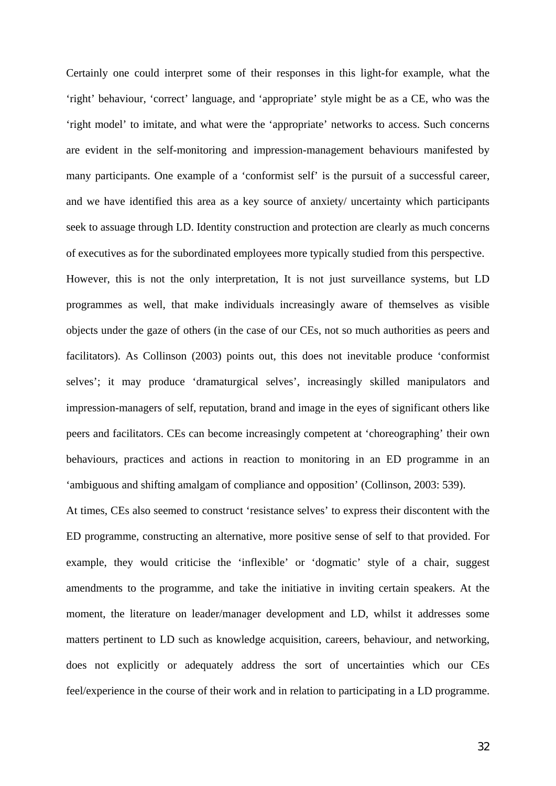Certainly one could interpret some of their responses in this light-for example, what the 'right' behaviour, 'correct' language, and 'appropriate' style might be as a CE, who was the 'right model' to imitate, and what were the 'appropriate' networks to access. Such concerns are evident in the self-monitoring and impression-management behaviours manifested by many participants. One example of a 'conformist self' is the pursuit of a successful career, and we have identified this area as a key source of anxiety/ uncertainty which participants seek to assuage through LD. Identity construction and protection are clearly as much concerns of executives as for the subordinated employees more typically studied from this perspective.

However, this is not the only interpretation, It is not just surveillance systems, but LD programmes as well, that make individuals increasingly aware of themselves as visible objects under the gaze of others (in the case of our CEs, not so much authorities as peers and facilitators). As Collinson (2003) points out, this does not inevitable produce 'conformist selves'; it may produce 'dramaturgical selves', increasingly skilled manipulators and impression-managers of self, reputation, brand and image in the eyes of significant others like peers and facilitators. CEs can become increasingly competent at 'choreographing' their own behaviours, practices and actions in reaction to monitoring in an ED programme in an 'ambiguous and shifting amalgam of compliance and opposition' (Collinson, 2003: 539).

At times, CEs also seemed to construct 'resistance selves' to express their discontent with the ED programme, constructing an alternative, more positive sense of self to that provided. For example, they would criticise the 'inflexible' or 'dogmatic' style of a chair, suggest amendments to the programme, and take the initiative in inviting certain speakers. At the moment, the literature on leader/manager development and LD, whilst it addresses some matters pertinent to LD such as knowledge acquisition, careers, behaviour, and networking, does not explicitly or adequately address the sort of uncertainties which our CEs feel/experience in the course of their work and in relation to participating in a LD programme.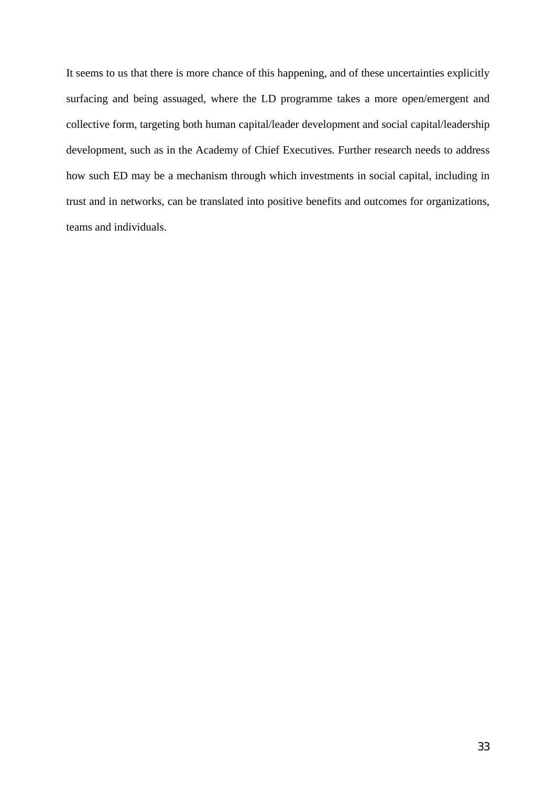It seems to us that there is more chance of this happening, and of these uncertainties explicitly surfacing and being assuaged, where the LD programme takes a more open/emergent and collective form, targeting both human capital/leader development and social capital/leadership development, such as in the Academy of Chief Executives. Further research needs to address how such ED may be a mechanism through which investments in social capital, including in trust and in networks, can be translated into positive benefits and outcomes for organizations, teams and individuals.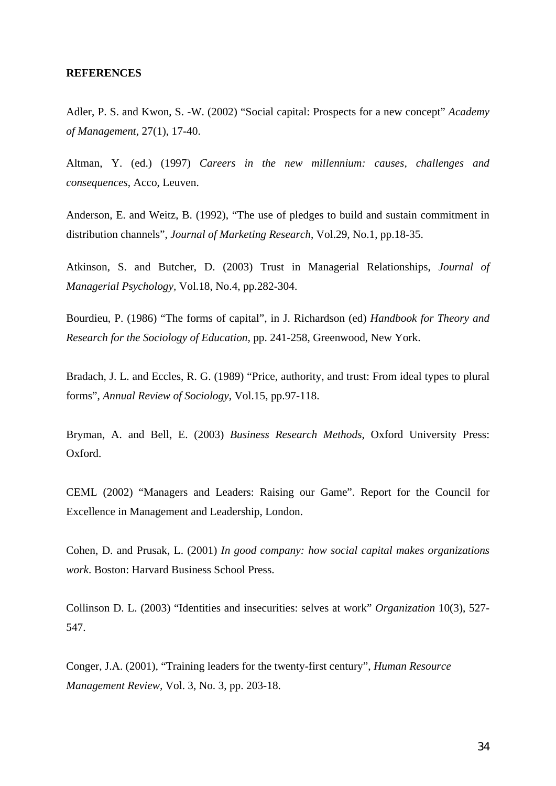#### **REFERENCES**

Adler, P. S. and Kwon, S. -W. (2002) "Social capital: Prospects for a new concept" *Academy of Management*, 27(1), 17-40.

Altman, Y. (ed.) (1997) *Careers in the new millennium: causes, challenges and consequences*, Acco, Leuven.

Anderson, E. and Weitz, B. (1992), "The use of pledges to build and sustain commitment in distribution channels", *Journal of Marketing Research*, Vol.29, No.1, pp.18-35.

Atkinson, S. and Butcher, D. (2003) Trust in Managerial Relationships, *Journal of Managerial Psychology,* Vol.18, No.4, pp.282-304.

Bourdieu, P. (1986) "The forms of capital", in J. Richardson (ed) *Handbook for Theory and Research for the Sociology of Education,* pp. 241-258, Greenwood, New York.

Bradach, J. L. and Eccles, R. G. (1989) "Price, authority, and trust: From ideal types to plural forms", *Annual Review of Sociology*, Vol.15, pp.97-118.

Bryman, A. and Bell, E. (2003) *Business Research Methods*, Oxford University Press: Oxford.

CEML (2002) "Managers and Leaders: Raising our Game". Report for the Council for Excellence in Management and Leadership, London.

Cohen, D. and Prusak, L. (2001) *In good company: how social capital makes organizations work*. Boston: Harvard Business School Press.

Collinson D. L. (2003) "Identities and insecurities: selves at work" *Organization* 10(3), 527- 547.

Conger, J.A. (2001), "Training leaders for the twenty-first century", *Human Resource Management Review,* Vol. 3, No. 3, pp. 203-18.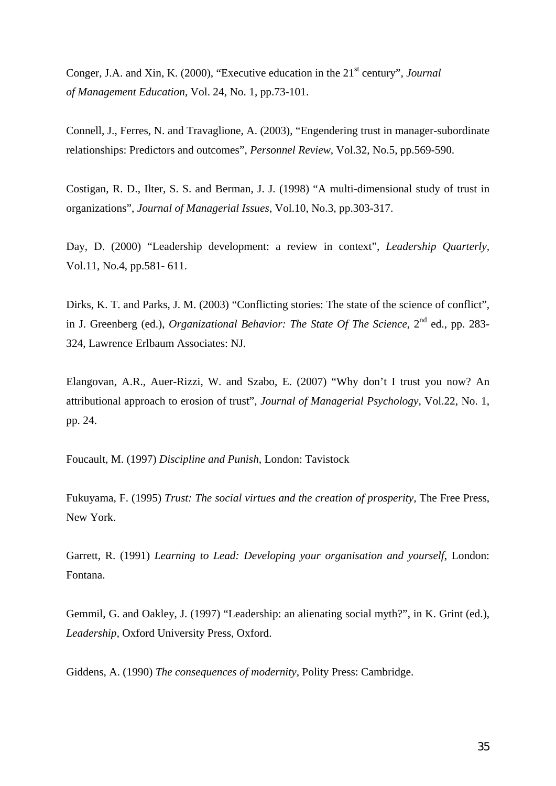Conger, J.A. and Xin, K. (2000), "Executive education in the 21<sup>st</sup> century", *Journal of Management Education*, Vol. 24, No. 1, pp.73-101.

Connell, J., Ferres, N. and Travaglione, A. (2003), "Engendering trust in manager-subordinate relationships: Predictors and outcomes", *Personnel Review*, Vol.32, No.5, pp.569-590.

Costigan, R. D., Ilter, S. S. and Berman, J. J. (1998) "A multi-dimensional study of trust in organizations", *Journal of Managerial Issues*, Vol.10, No.3, pp.303-317.

Day, D. (2000) "Leadership development: a review in context", *Leadership Quarterly,* Vol.11, No.4, pp.581- 611.

Dirks, K. T. and Parks, J. M. (2003) "Conflicting stories: The state of the science of conflict", in J. Greenberg (ed.), *Organizational Behavior: The State Of The Science*, 2<sup>nd</sup> ed., pp. 283-324, Lawrence Erlbaum Associates: NJ.

Elangovan, A.R., Auer-Rizzi, W. and Szabo, E. (2007) "Why don't I trust you now? An attributional approach to erosion of trust", *Journal of Managerial Psychology*, Vol.22, No. 1, pp. 24.

Foucault, M. (1997) *Discipline and Punish,* London: Tavistock

Fukuyama, F. (1995) *Trust: The social virtues and the creation of prosperity,* The Free Press, New York.

Garrett, R. (1991) *Learning to Lead: Developing your organisation and yourself*, London: Fontana.

Gemmil, G. and Oakley, J. (1997) "Leadership: an alienating social myth?", in K. Grint (ed.), *Leadership,* Oxford University Press, Oxford.

Giddens, A. (1990) *The consequences of modernity,* Polity Press: Cambridge.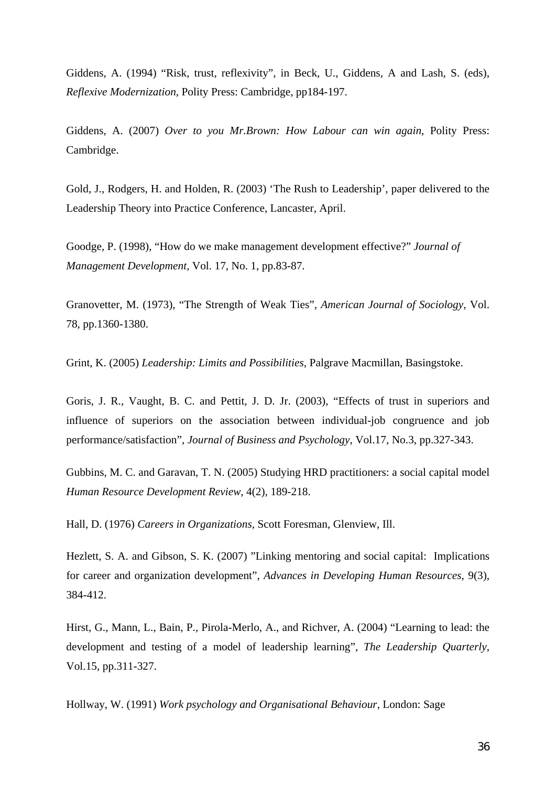Giddens, A. (1994) "Risk, trust, reflexivity", in Beck, U., Giddens, A and Lash, S. (eds), *Reflexive Modernization*, Polity Press: Cambridge, pp184-197.

Giddens, A. (2007) *Over to you Mr.Brown: How Labour can win again*, Polity Press: Cambridge.

Gold, J., Rodgers, H. and Holden, R. (2003) 'The Rush to Leadership', paper delivered to the Leadership Theory into Practice Conference, Lancaster, April.

Goodge, P. (1998), "How do we make management development effective?" *Journal of Management Development,* Vol. 17, No. 1, pp.83-87.

Granovetter, M. (1973), "The Strength of Weak Ties", *American Journal of Sociology*, Vol. 78, pp.1360-1380.

Grint, K. (2005) *Leadership: Limits and Possibilities,* Palgrave Macmillan, Basingstoke.

Goris, J. R., Vaught, B. C. and Pettit, J. D. Jr. (2003), "Effects of trust in superiors and influence of superiors on the association between individual-job congruence and job performance/satisfaction", *Journal of Business and Psychology*, Vol.17, No.3, pp.327-343.

Gubbins, M. C. and Garavan, T. N. (2005) Studying HRD practitioners: a social capital model *Human Resource Development Review*, 4(2), 189-218.

Hall, D. (1976) *Careers in Organizations,* Scott Foresman, Glenview, Ill.

Hezlett, S. A. and Gibson, S. K. (2007) "Linking mentoring and social capital: Implications for career and organization development", *Advances in Developing Human Resources*, 9(3), 384-412.

Hirst, G., Mann, L., Bain, P., Pirola-Merlo, A., and Richver, A. (2004) "Learning to lead: the development and testing of a model of leadership learning", *The Leadership Quarterly,* Vol.15, pp.311-327.

Hollway, W. (1991) *Work psychology and Organisational Behaviour,* London: Sage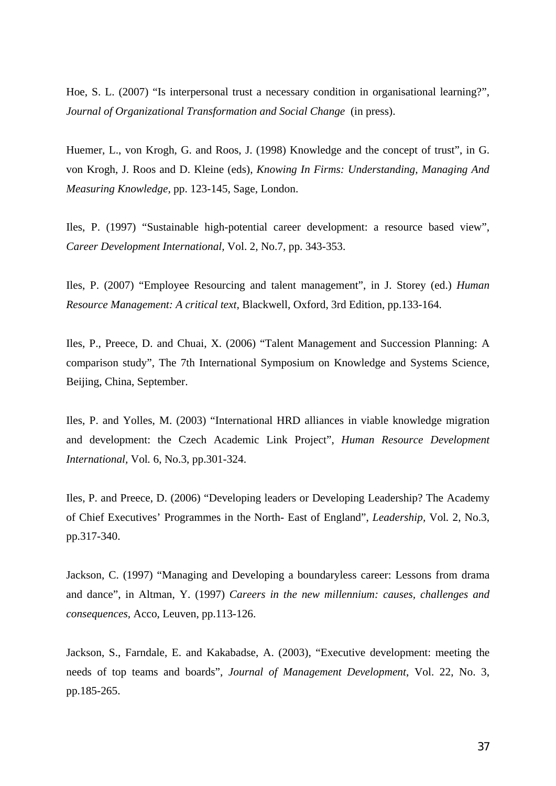Hoe, S. L. (2007) "Is interpersonal trust a necessary condition in organisational learning?", *Journal of Organizational Transformation and Social Change* (in press).

Huemer, L., von Krogh, G. and Roos, J. (1998) Knowledge and the concept of trust", in G. von Krogh, J. Roos and D. Kleine (eds), *Knowing In Firms: Understanding, Managing And Measuring Knowledge,* pp. 123-145, Sage, London.

Iles, P. (1997) "Sustainable high-potential career development: a resource based view", *Career Development International,* Vol. 2, No.7, pp. 343-353.

Iles, P. (2007) "Employee Resourcing and talent management", in J. Storey (ed.) *Human Resource Management: A critical text,* Blackwell, Oxford, 3rd Edition, pp.133-164.

Iles, P., Preece, D. and Chuai, X. (2006) "Talent Management and Succession Planning: A comparison study", The 7th International Symposium on Knowledge and Systems Science, Beijing, China, September.

Iles, P. and Yolles, M. (2003) "International HRD alliances in viable knowledge migration and development: the Czech Academic Link Project", *Human Resource Development International,* Vol*.* 6, No.3, pp.301-324.

Iles, P. and Preece, D. (2006) "Developing leaders or Developing Leadership? The Academy of Chief Executives' Programmes in the North- East of England", *Leadership,* Vol*.* 2, No.3, pp.317-340.

Jackson, C. (1997) "Managing and Developing a boundaryless career: Lessons from drama and dance", in Altman, Y. (1997) *Careers in the new millennium: causes, challenges and consequences,* Acco, Leuven, pp.113-126.

Jackson, S., Farndale, E. and Kakabadse, A. (2003), "Executive development: meeting the needs of top teams and boards", *Journal of Management Development*, Vol. 22, No. 3, pp.185-265.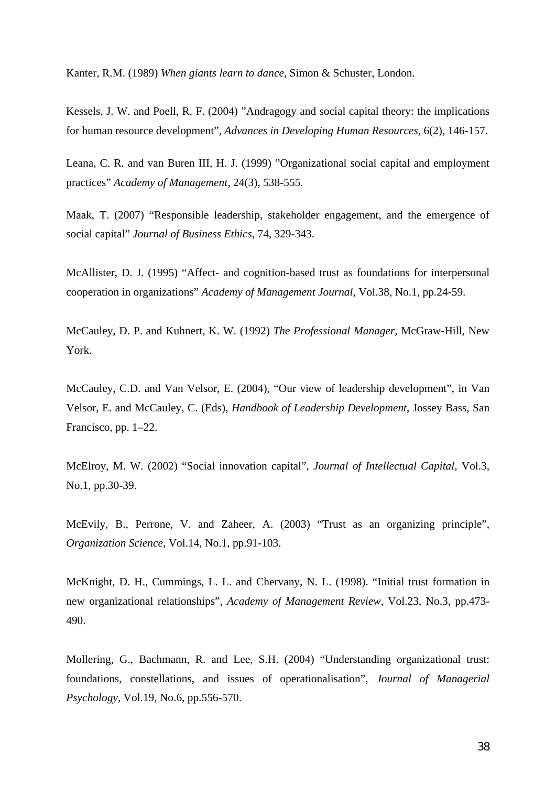Kanter, R.M. (1989) *When giants learn to dance,* Simon & Schuster, London.

Kessels, J. W. and Poell, R. F. (2004) "Andragogy and social capital theory: the implications for human resource development", *Advances in Developing Human Resources,* 6(2), 146-157.

Leana, C. R. and van Buren III, H. J. (1999) "Organizational social capital and employment practices" *Academy of Management*, 24(3), 538-555.

Maak, T. (2007) "Responsible leadership, stakeholder engagement, and the emergence of social capital" *Journal of Business Ethics*, 74, 329-343.

McAllister, D. J. (1995) "Affect- and cognition-based trust as foundations for interpersonal cooperation in organizations" *Academy of Management Journal*, Vol.38, No.1, pp.24-59.

McCauley, D. P. and Kuhnert, K. W. (1992) *The Professional Manager,* McGraw-Hill, New York.

McCauley, C.D. and Van Velsor, E. (2004), "Our view of leadership development", in Van Velsor, E. and McCauley, C. (Eds), *Handbook of Leadership Development*, Jossey Bass, San Francisco, pp. 1–22.

McElroy, M. W. (2002) "Social innovation capital", *Journal of Intellectual Capital*, Vol.3, No.1, pp.30-39.

McEvily, B., Perrone, V. and Zaheer, A. (2003) "Trust as an organizing principle", *Organization Science*, Vol.14, No.1, pp.91-103.

McKnight, D. H., Cummings, L. L. and Chervany, N. L. (1998). "Initial trust formation in new organizational relationships", *Academy of Management Review*, Vol.23, No.3, pp.473- 490.

Mollering, G., Bachmann, R. and Lee, S.H. (2004) "Understanding organizational trust: foundations, constellations, and issues of operationalisation", *Journal of Managerial Psychology,* Vol.19, No.6, pp.556-570.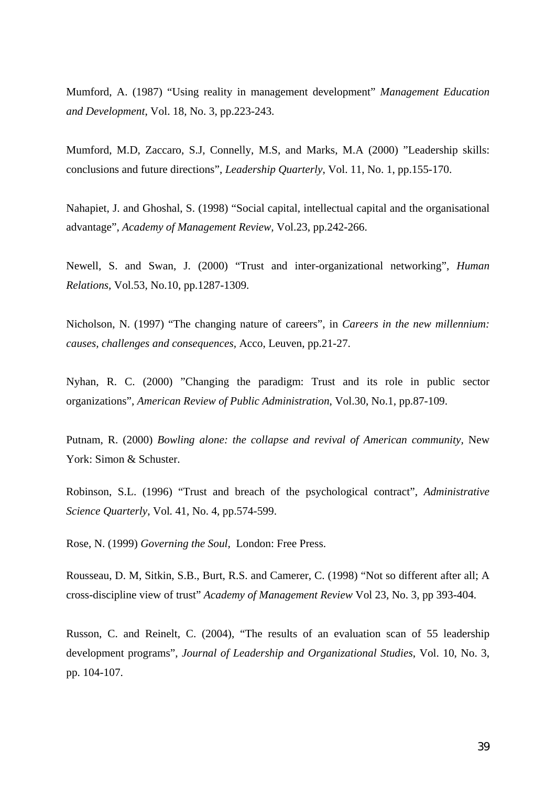Mumford, A. (1987) "Using reality in management development" *Management Education and Development*, Vol. 18, No. 3, pp.223-243.

Mumford, M.D, Zaccaro, S.J, Connelly, M.S, and Marks, M.A (2000) "Leadership skills: conclusions and future directions", *Leadership Quarterly*, Vol. 11, No. 1, pp.155-170.

Nahapiet, J. and Ghoshal, S. (1998) "Social capital, intellectual capital and the organisational advantage", *Academy of Management Review,* Vol.23, pp.242-266.

Newell, S. and Swan, J. (2000) "Trust and inter-organizational networking", *Human Relations,* Vol.53, No.10, pp.1287-1309.

Nicholson, N. (1997) "The changing nature of careers", in *Careers in the new millennium: causes, challenges and consequences,* Acco, Leuven, pp.21-27.

Nyhan, R. C. (2000) "Changing the paradigm: Trust and its role in public sector organizations", *American Review of Public Administration*, Vol.30, No.1, pp.87-109.

Putnam, R. (2000) *Bowling alone: the collapse and revival of American community,* New York: Simon & Schuster.

Robinson, S.L. (1996) "Trust and breach of the psychological contract", *Administrative Science Quarterly*, Vol*.* 41, No. 4, pp.574-599.

Rose, N. (1999) *Governing the Soul,* London: Free Press.

Rousseau, D. M, Sitkin, S.B., Burt, R.S. and Camerer, C. (1998) "Not so different after all; A cross-discipline view of trust" *Academy of Management Review* Vol 23, No. 3, pp 393-404.

Russon, C. and Reinelt, C. (2004), "The results of an evaluation scan of 55 leadership development programs", *Journal of Leadership and Organizational Studies*, Vol. 10, No. 3, pp. 104-107.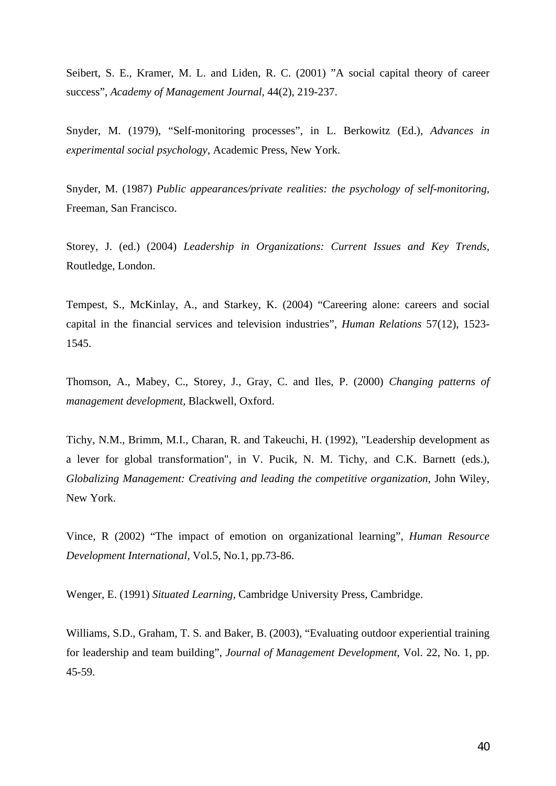Seibert, S. E., Kramer, M. L. and Liden, R. C. (2001) "A social capital theory of career success", *Academy of Management Journal,* 44(2), 219-237.

Snyder, M. (1979), "Self-monitoring processes", in L. Berkowitz (Ed.), *Advances in experimental social psychology,* Academic Press, New York.

Snyder, M. (1987) *Public appearances/private realities: the psychology of self-monitoring,* Freeman, San Francisco.

Storey, J. (ed.) (2004) *Leadership in Organizations: Current Issues and Key Trends,* Routledge, London.

Tempest, S., McKinlay, A., and Starkey, K. (2004) "Careering alone: careers and social capital in the financial services and television industries", *Human Relations* 57(12), 1523- 1545.

Thomson, A., Mabey, C., Storey, J., Gray, C. and Iles, P. (2000) *Changing patterns of management development,* Blackwell, Oxford.

Tichy, N.M., Brimm, M.I., Charan, R. and Takeuchi, H. (1992), "Leadership development as a lever for global transformation", in V. Pucik, N. M. Tichy, and C.K. Barnett (eds.), *Globalizing Management: Creativing and leading the competitive organization,* John Wiley, New York.

Vince, R (2002) "The impact of emotion on organizational learning", *Human Resource Development International,* Vol.5, No.1, pp.73-86.

Wenger, E. (1991) *Situated Learning,* Cambridge University Press, Cambridge.

Williams, S.D., Graham, T. S. and Baker, B. (2003), "Evaluating outdoor experiential training for leadership and team building", *Journal of Management Development*, Vol. 22, No. 1, pp. 45-59.